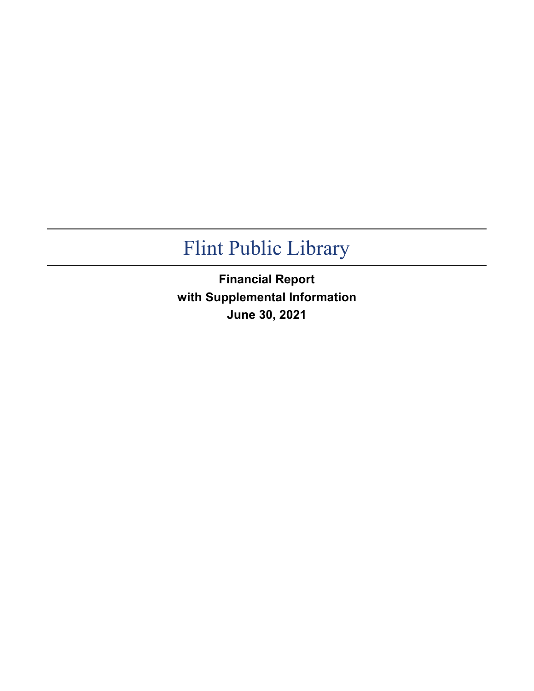**Financial Report with Supplemental Information June 30, 2021**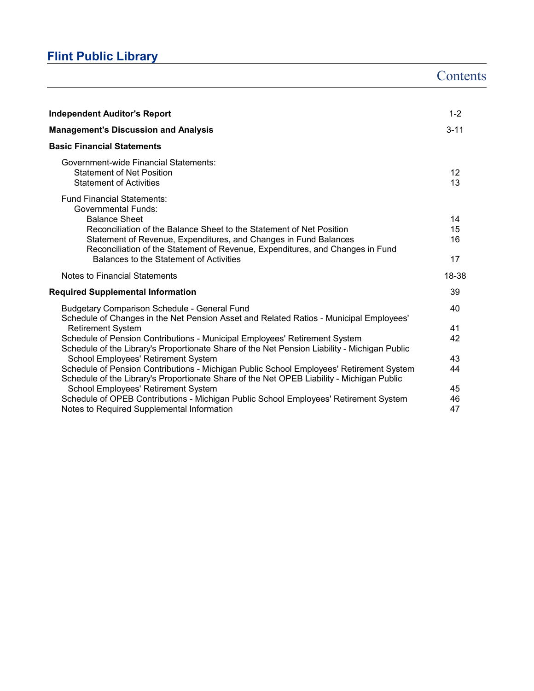# Contents

| <b>Independent Auditor's Report</b>                                                                                                                                                                                                                                                                                                                      | $1 - 2$                 |
|----------------------------------------------------------------------------------------------------------------------------------------------------------------------------------------------------------------------------------------------------------------------------------------------------------------------------------------------------------|-------------------------|
| <b>Management's Discussion and Analysis</b>                                                                                                                                                                                                                                                                                                              | $3 - 11$                |
| <b>Basic Financial Statements</b>                                                                                                                                                                                                                                                                                                                        |                         |
| Government-wide Financial Statements:<br><b>Statement of Net Position</b><br><b>Statement of Activities</b>                                                                                                                                                                                                                                              | $12 \overline{ }$<br>13 |
| <b>Fund Financial Statements:</b><br>Governmental Funds:<br><b>Balance Sheet</b><br>Reconciliation of the Balance Sheet to the Statement of Net Position<br>Statement of Revenue, Expenditures, and Changes in Fund Balances<br>Reconciliation of the Statement of Revenue, Expenditures, and Changes in Fund<br>Balances to the Statement of Activities | 14<br>15<br>16<br>17    |
| Notes to Financial Statements                                                                                                                                                                                                                                                                                                                            | 18-38                   |
| <b>Required Supplemental Information</b>                                                                                                                                                                                                                                                                                                                 | 39                      |
| <b>Budgetary Comparison Schedule - General Fund</b><br>Schedule of Changes in the Net Pension Asset and Related Ratios - Municipal Employees'<br><b>Retirement System</b>                                                                                                                                                                                | 40<br>41                |
| Schedule of Pension Contributions - Municipal Employees' Retirement System<br>Schedule of the Library's Proportionate Share of the Net Pension Liability - Michigan Public<br>School Employees' Retirement System                                                                                                                                        | 42<br>43                |
| Schedule of Pension Contributions - Michigan Public School Employees' Retirement System<br>Schedule of the Library's Proportionate Share of the Net OPEB Liability - Michigan Public                                                                                                                                                                     | 44                      |
| School Employees' Retirement System<br>Schedule of OPEB Contributions - Michigan Public School Employees' Retirement System<br>Notes to Required Supplemental Information                                                                                                                                                                                | 45<br>46<br>47          |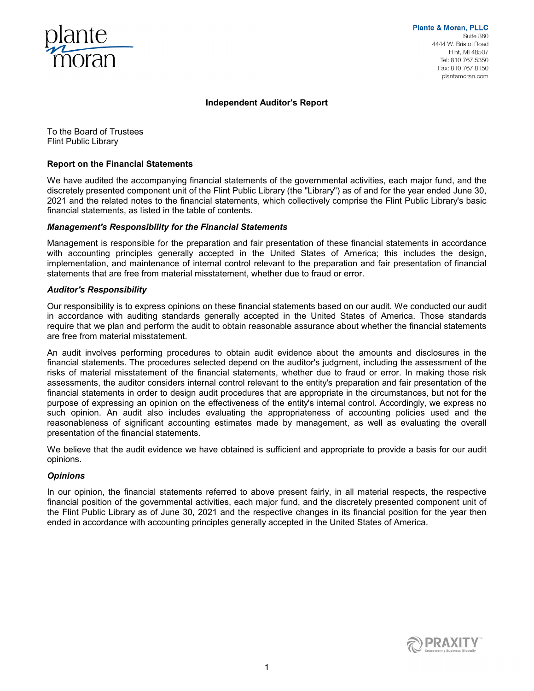

#### **Independent Auditor's Report**

To the Board of Trustees Flint Public Library

#### **Report on the Financial Statements**

We have audited the accompanying financial statements of the governmental activities, each major fund, and the discretely presented component unit of the Flint Public Library (the "Library") as of and for the year ended June 30, 2021 and the related notes to the financial statements, which collectively comprise the Flint Public Library's basic financial statements, as listed in the table of contents.

#### *Management's Responsibility for the Financial Statements*

Management is responsible for the preparation and fair presentation of these financial statements in accordance with accounting principles generally accepted in the United States of America; this includes the design, implementation, and maintenance of internal control relevant to the preparation and fair presentation of financial statements that are free from material misstatement, whether due to fraud or error.

#### *Auditor's Responsibility*

Our responsibility is to express opinions on these financial statements based on our audit. We conducted our audit in accordance with auditing standards generally accepted in the United States of America. Those standards require that we plan and perform the audit to obtain reasonable assurance about whether the financial statements are free from material misstatement.

An audit involves performing procedures to obtain audit evidence about the amounts and disclosures in the financial statements. The procedures selected depend on the auditor's judgment, including the assessment of the risks of material misstatement of the financial statements, whether due to fraud or error. In making those risk assessments, the auditor considers internal control relevant to the entity's preparation and fair presentation of the financial statements in order to design audit procedures that are appropriate in the circumstances, but not for the purpose of expressing an opinion on the effectiveness of the entity's internal control. Accordingly, we express no such opinion. An audit also includes evaluating the appropriateness of accounting policies used and the reasonableness of significant accounting estimates made by management, as well as evaluating the overall presentation of the financial statements.

We believe that the audit evidence we have obtained is sufficient and appropriate to provide a basis for our audit opinions.

#### *Opinions*

In our opinion, the financial statements referred to above present fairly, in all material respects, the respective financial position of the governmental activities, each major fund, and the discretely presented component unit of the Flint Public Library as of June 30, 2021 and the respective changes in its financial position for the year then ended in accordance with accounting principles generally accepted in the United States of America.

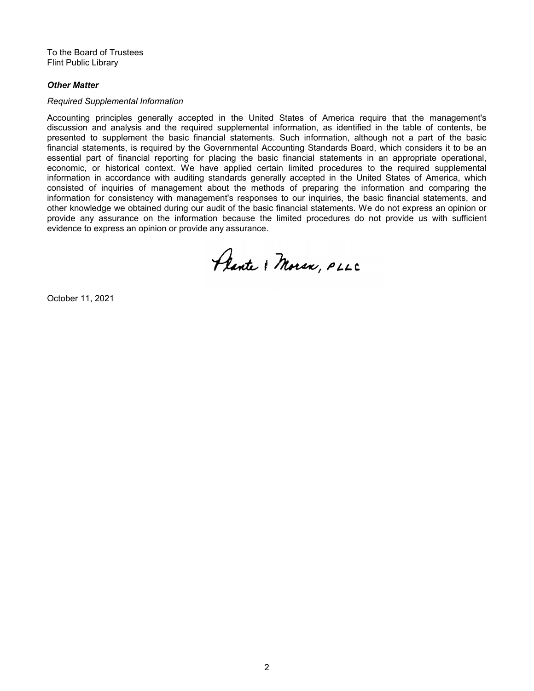To the Board of Trustees Flint Public Library

#### *Other Matter*

#### *Required Supplemental Information*

Accounting principles generally accepted in the United States of America require that the management's discussion and analysis and the required supplemental information, as identified in the table of contents, be presented to supplement the basic financial statements. Such information, although not a part of the basic financial statements, is required by the Governmental Accounting Standards Board, which considers it to be an essential part of financial reporting for placing the basic financial statements in an appropriate operational, economic, or historical context. We have applied certain limited procedures to the required supplemental information in accordance with auditing standards generally accepted in the United States of America, which consisted of inquiries of management about the methods of preparing the information and comparing the information for consistency with management's responses to our inquiries, the basic financial statements, and other knowledge we obtained during our audit of the basic financial statements. We do not express an opinion or provide any assurance on the information because the limited procedures do not provide us with sufficient evidence to express an opinion or provide any assurance.

Plante & Moran, PLLC

October 11, 2021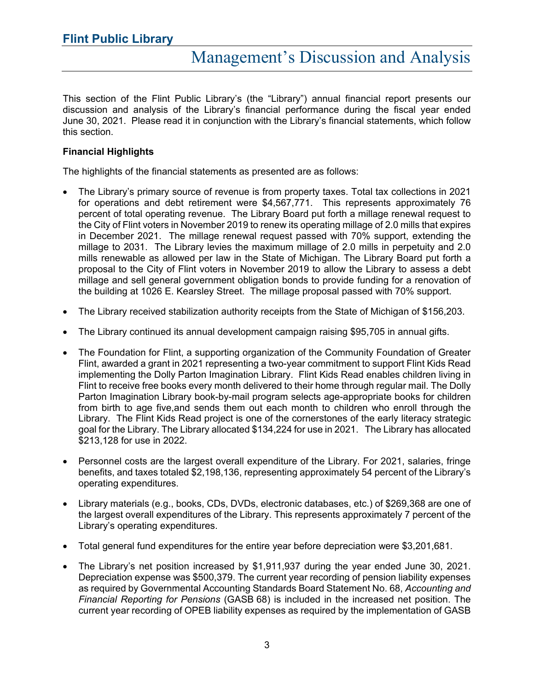This section of the Flint Public Library's (the "Library") annual financial report presents our discussion and analysis of the Library's financial performance during the fiscal year ended June 30, 2021. Please read it in conjunction with the Library's financial statements, which follow this section.

### **Financial Highlights**

The highlights of the financial statements as presented are as follows:

- The Library's primary source of revenue is from property taxes. Total tax collections in 2021 for operations and debt retirement were \$4,567,771. This represents approximately 76 percent of total operating revenue. The Library Board put forth a millage renewal request to the City of Flint voters in November 2019 to renew its operating millage of 2.0 mills that expires in December 2021. The millage renewal request passed with 70% support, extending the millage to 2031. The Library levies the maximum millage of 2.0 mills in perpetuity and 2.0 mills renewable as allowed per law in the State of Michigan. The Library Board put forth a proposal to the City of Flint voters in November 2019 to allow the Library to assess a debt millage and sell general government obligation bonds to provide funding for a renovation of the building at 1026 E. Kearsley Street. The millage proposal passed with 70% support.
- The Library received stabilization authority receipts from the State of Michigan of \$156,203.
- The Library continued its annual development campaign raising \$95,705 in annual gifts.
- The Foundation for Flint, a supporting organization of the Community Foundation of Greater Flint, awarded a grant in 2021 representing a two-year commitment to support Flint Kids Read implementing the Dolly Parton Imagination Library. Flint Kids Read enables children living in Flint to receive free books every month delivered to their home through regular mail. The Dolly Parton Imagination Library book-by-mail program selects age-appropriate books for children from birth to age five,and sends them out each month to children who enroll through the Library. The Flint Kids Read project is one of the cornerstones of the early literacy strategic goal for the Library. The Library allocated \$134,224 for use in 2021. The Library has allocated \$213,128 for use in 2022.
- Personnel costs are the largest overall expenditure of the Library. For 2021, salaries, fringe benefits, and taxes totaled \$2,198,136, representing approximately 54 percent of the Library's operating expenditures.
- Library materials (e.g., books, CDs, DVDs, electronic databases, etc.) of \$269,368 are one of the largest overall expenditures of the Library. This represents approximately 7 percent of the Library's operating expenditures.
- Total general fund expenditures for the entire year before depreciation were \$3,201,681.
- The Library's net position increased by \$1,911,937 during the year ended June 30, 2021. Depreciation expense was \$500,379. The current year recording of pension liability expenses as required by Governmental Accounting Standards Board Statement No. 68, *Accounting and Financial Reporting for Pensions* (GASB 68) is included in the increased net position. The current year recording of OPEB liability expenses as required by the implementation of GASB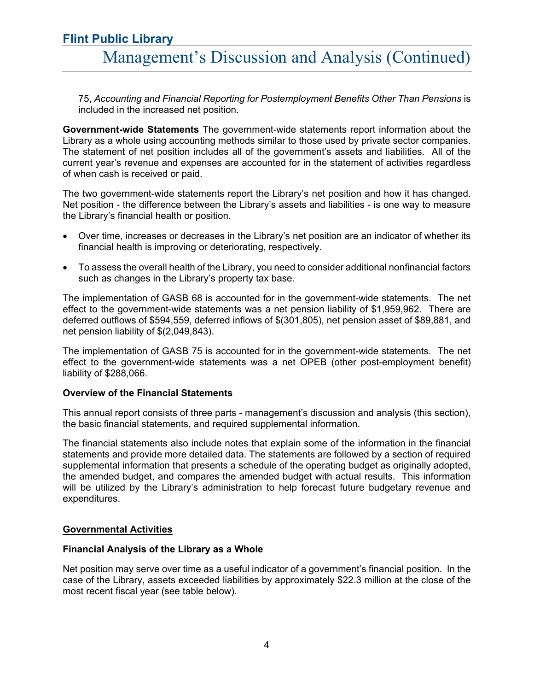# Management's Discussion and Analysis (Continued)

75, *Accounting and Financial Reporting for Postemployment Benefits Other Than Pensions* is included in the increased net position.

**Government-wide Statements** The government-wide statements report information about the Library as a whole using accounting methods similar to those used by private sector companies. The statement of net position includes all of the government's assets and liabilities. All of the current year's revenue and expenses are accounted for in the statement of activities regardless of when cash is received or paid.

The two government-wide statements report the Library's net position and how it has changed. Net position - the difference between the Library's assets and liabilities - is one way to measure the Library's financial health or position.

- Over time, increases or decreases in the Library's net position are an indicator of whether its financial health is improving or deteriorating, respectively.
- To assess the overall health of the Library, you need to consider additional nonfinancial factors such as changes in the Library's property tax base.

The implementation of GASB 68 is accounted for in the government-wide statements. The net effect to the government-wide statements was a net pension liability of \$1,959,962. There are deferred outflows of \$594,559, deferred inflows of \$(301,805), net pension asset of \$89,881, and net pension liability of \$(2,049,843).

The implementation of GASB 75 is accounted for in the government-wide statements. The net effect to the government-wide statements was a net OPEB (other post-employment benefit) liability of \$288,066.

#### **Overview of the Financial Statements**

This annual report consists of three parts - management's discussion and analysis (this section), the basic financial statements, and required supplemental information.

The financial statements also include notes that explain some of the information in the financial statements and provide more detailed data. The statements are followed by a section of required supplemental information that presents a schedule of the operating budget as originally adopted, the amended budget, and compares the amended budget with actual results. This information will be utilized by the Library's administration to help forecast future budgetary revenue and expenditures.

#### **Governmental Activities**

#### **Financial Analysis of the Library as a Whole**

Net position may serve over time as a useful indicator of a government's financial position. In the case of the Library, assets exceeded liabilities by approximately \$22.3 million at the close of the most recent fiscal year (see table below).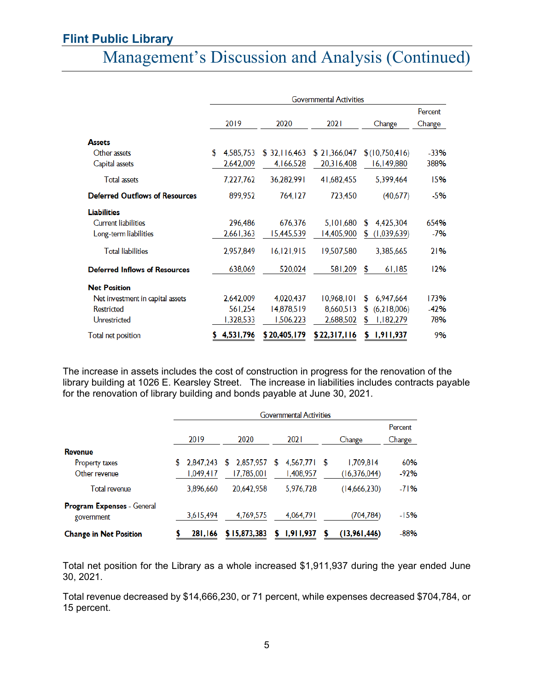# Management's Discussion and Analysis (Continued)

|                                       | <b>Governmental Activities</b> |              |              |    |                |        |  |  |  |  |
|---------------------------------------|--------------------------------|--------------|--------------|----|----------------|--------|--|--|--|--|
|                                       |                                |              |              |    |                |        |  |  |  |  |
|                                       | 2019                           | 2020         | 2021         |    | Change         | Change |  |  |  |  |
| <b>Assets</b>                         |                                |              |              |    |                |        |  |  |  |  |
| Other assets                          | \$<br>4,585,753                | \$32,116,463 | \$21,366,047 |    | \$(10,750,416) | $-33%$ |  |  |  |  |
| Capital assets                        | 2,642,009                      | 4,166,528    | 20,316,408   |    | 16,149,880     | 388%   |  |  |  |  |
| <b>Total assets</b>                   | 7,227,762                      | 36,282,991   | 41,682,455   |    | 5.399.464      | 15%    |  |  |  |  |
| <b>Deferred Outflows of Resources</b> | 899,952                        | 764,127      | 723,450      |    | (40,677)       | $-5%$  |  |  |  |  |
| <b>Liabilities</b>                    |                                |              |              |    |                |        |  |  |  |  |
| <b>Current liabilities</b>            | 296,486                        | 676,376      | 5,101,680    | \$ | 4,425,304      | 654%   |  |  |  |  |
| Long-term liabilities                 | 2,661,363                      | 15,445,539   | 14,405,900   | \$ | (1,039,639)    | $-7%$  |  |  |  |  |
| <b>Total liabilities</b>              | 2,957,849                      | 16,121,915   | 19,507,580   |    | 3,385,665      | 21%    |  |  |  |  |
| <b>Deferred Inflows of Resources</b>  | 638,069                        | 520,024      | 581,209      | \$ | 61,185         | 12%    |  |  |  |  |
| <b>Net Position</b>                   |                                |              |              |    |                |        |  |  |  |  |
| Net investment in capital assets      | 2,642,009                      | 4.020.437    | 10,968,101   | \$ | 6.947.664      | 173%   |  |  |  |  |
| <b>Restricted</b>                     | 561,254                        | 14,878,519   | 8,660,513    | \$ | (6,218,006)    | $-42%$ |  |  |  |  |
| <b>Unrestricted</b>                   | 1,328,533                      | 1,506,223    | 2,688,502    | S  | 1,182,279      | 78%    |  |  |  |  |
| Total net position                    | 4,531,796                      | \$20,405,179 | \$22,317,116 | s  | 1,911,937      | 9%     |  |  |  |  |

The increase in assets includes the cost of construction in progress for the renovation of the library building at 1026 E. Kearsley Street. The increase in liabilities includes contracts payable for the renovation of library building and bonds payable at June 30, 2021.

|                                   | <b>Governmental Activities</b> |           |   |              |   |           |     |                |         |  |
|-----------------------------------|--------------------------------|-----------|---|--------------|---|-----------|-----|----------------|---------|--|
|                                   |                                |           |   |              |   |           |     |                | Percent |  |
|                                   |                                | 2019      |   | 2020         |   | 2021      |     | Change         | Change  |  |
| Revenue                           |                                |           |   |              |   |           |     |                |         |  |
| Property taxes                    |                                | 2.847.243 | 5 | 2,857,957    | S | 4.567.771 | - 5 | 1.709.814      | 60%     |  |
| Other revenue                     |                                | 1.049.417 |   | 17.785.001   |   | 1,408,957 |     | (16, 376, 044) | $-92%$  |  |
| <b>Total revenue</b>              |                                | 3,896,660 |   | 20,642,958   |   | 5,976,728 |     | (14,666,230)   | $-71%$  |  |
| <b>Program Expenses - General</b> |                                |           |   |              |   |           |     |                |         |  |
| government                        |                                | 3.615.494 |   | 4,769,575    |   | 4,064,791 |     | (704, 784)     | $-15%$  |  |
| <b>Change in Net Position</b>     |                                | 281,166   |   | \$15,873,383 |   | 1,911,937 |     | (13,961,446)   | $-88%$  |  |

Total net position for the Library as a whole increased \$1,911,937 during the year ended June 30, 2021.

Total revenue decreased by \$14,666,230, or 71 percent, while expenses decreased \$704,784, or 15 percent.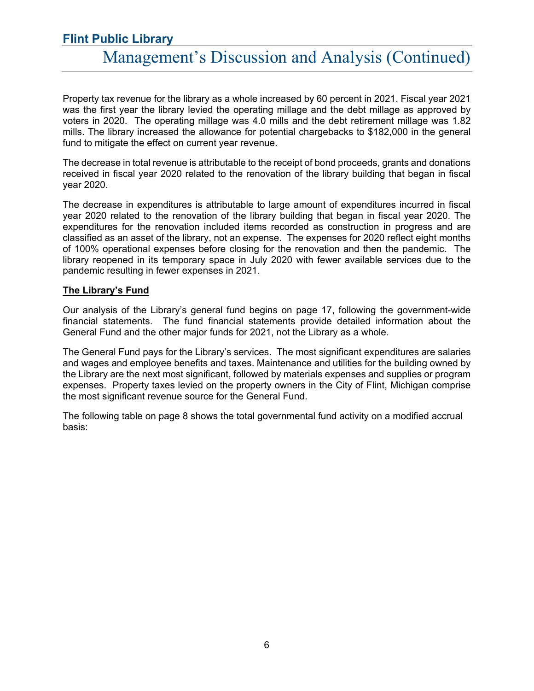# Management's Discussion and Analysis (Continued)

Property tax revenue for the library as a whole increased by 60 percent in 2021. Fiscal year 2021 was the first year the library levied the operating millage and the debt millage as approved by voters in 2020. The operating millage was 4.0 mills and the debt retirement millage was 1.82 mills. The library increased the allowance for potential chargebacks to \$182,000 in the general fund to mitigate the effect on current year revenue.

The decrease in total revenue is attributable to the receipt of bond proceeds, grants and donations received in fiscal year 2020 related to the renovation of the library building that began in fiscal year 2020.

The decrease in expenditures is attributable to large amount of expenditures incurred in fiscal year 2020 related to the renovation of the library building that began in fiscal year 2020. The expenditures for the renovation included items recorded as construction in progress and are classified as an asset of the library, not an expense. The expenses for 2020 reflect eight months of 100% operational expenses before closing for the renovation and then the pandemic. The library reopened in its temporary space in July 2020 with fewer available services due to the pandemic resulting in fewer expenses in 2021.

#### **The Library's Fund**

Our analysis of the Library's general fund begins on page 17, following the government-wide financial statements. The fund financial statements provide detailed information about the General Fund and the other major funds for 2021, not the Library as a whole.

The General Fund pays for the Library's services. The most significant expenditures are salaries and wages and employee benefits and taxes. Maintenance and utilities for the building owned by the Library are the next most significant, followed by materials expenses and supplies or program expenses. Property taxes levied on the property owners in the City of Flint, Michigan comprise the most significant revenue source for the General Fund.

The following table on page 8 shows the total governmental fund activity on a modified accrual basis: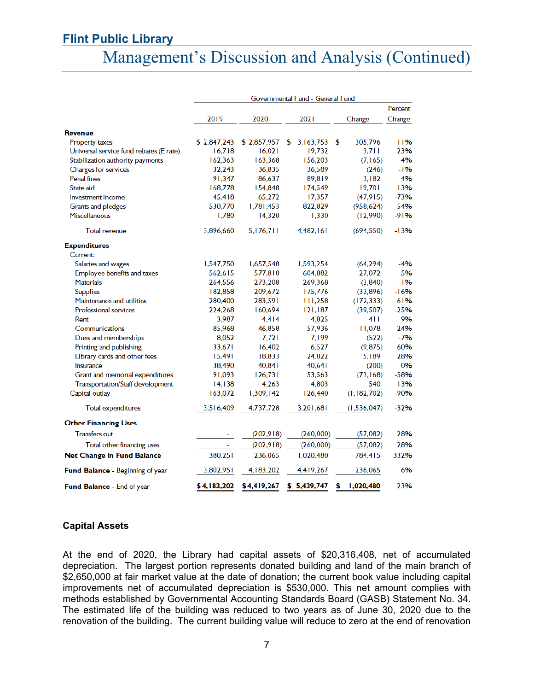# Management's Discussion and Analysis (Continued)

|                                         |             |             | Governmental Fund - General Fund |                 |         |
|-----------------------------------------|-------------|-------------|----------------------------------|-----------------|---------|
|                                         |             |             |                                  |                 | Percent |
|                                         | 2019        | 2020        | 2021                             | Change          | Change  |
| <b>Revenue</b>                          |             |             |                                  |                 |         |
| <b>Property taxes</b>                   | \$2,847,243 | \$2,857,957 | 3,163,753<br>\$                  | 305,796<br>\$   | l 1%    |
| Universal service fund rebates (E rate) | 16,718      | 16,021      | 19,732                           | 3,711           | 23%     |
| Stabilization authority payments        | 162,363     | 163,368     | 156,203                          | (7, 165)        | -4%     |
| Charges for services                    | 32,243      | 36,835      | 36,589                           | (246)           | $-1%$   |
| Penal fines                             | 91,347      | 86,637      | 89,819                           | 3,182           | 4%      |
| State aid                               | 168,778     | 154,848     | 174,549                          | 19,701          | 13%     |
| <b>Investment income</b>                | 45,418      | 65,272      | 17,357                           | (47,915)        | $-73%$  |
| <b>Grants and pledges</b>               | 530,770     | 1,781,453   | 822,829                          | (958, 624)      | $-54%$  |
| Miscellaneous                           | 1,780       | 14,320      | 1,330                            | (12,990)        | $-91%$  |
| <b>Total revenue</b>                    | 3,896,660   | 5,176,711   | 4,482,161                        | (694, 550)      | $-13%$  |
| <b>Expenditures</b>                     |             |             |                                  |                 |         |
| Current:                                |             |             |                                  |                 |         |
| Salaries and wages                      | 1,547,750   | 1,657,548   | 1.593.254                        | (64, 294)       | $-4%$   |
| Employee benefits and taxes             | 562,615     | 577,810     | 604,882                          | 27,072          | 5%      |
| <b>Materials</b>                        | 264,556     | 273,208     | 269,368                          | (3,840)         | $-1%$   |
| <b>Supplies</b>                         | 182,858     | 209,672     | 175,776                          | (33,896)        | $-16%$  |
| Maintenance and utilities               | 280,400     | 283,591     | 111,258                          | (172, 333)      | -61%    |
| Professional services                   | 224,268     | 160,694     | 121,187                          | (39,507)        | $-25%$  |
| Rent                                    | 3,987       | 4,414       | 4,825                            | 411             | 9%      |
| Communications                          | 85,968      | 46,858      | 57,936                           | 11,078          | 24%     |
| Dues and memberships                    | 8,052       | 7.721       | 7.199                            | (522)           | $-7%$   |
| Printing and publishing                 | 33,671      | 16,402      | 6,527                            | (9, 875)        | $-60%$  |
| Library cards and other fees            | 15,491      | 18,833      | 24,022                           | 5,189           | 28%     |
| Insurance                               | 38,490      | 40,841      | 40,641                           | (200)           | 0%      |
| Grant and memorial expenditures         | 91,093      | 126,731     | 53,563                           | (73, 168)       | -58%    |
| <b>Transportation/Staff development</b> | 14,138      | 4.263       | 4.803                            | 540             | 13%     |
| Capital outlay                          | 163,072     | 1,309,142   | 126,440                          | (1,182,702)     | $-90%$  |
| <b>Total expenditures</b>               | 3,516,409   | 4,737,728   | 3,201,681                        | (1,536,047)     | $-32%$  |
| <b>Other Financing Uses</b>             |             |             |                                  |                 |         |
| <b>Transfers out</b>                    |             | (202, 918)  | (260,000)                        | (57,082)        | 28%     |
| Total other financing uses              |             | (202, 918)  | (260,000)                        | (57,082)        | 28%     |
| Net Change in Fund Balance              | 380,251     | 236,065     | 1,020,480                        | 784,415         | 332%    |
| Fund Balance - Beginning of year        | 3,802,951   | 4,183,202   | 4,419,267                        | 236,065         | 6%      |
| Fund Balance - End of year              | \$4,183,202 | \$4,419,267 | 5,439,747<br>s                   | \$<br>1,020,480 | 23%     |

#### **Capital Assets**

At the end of 2020, the Library had capital assets of \$20,316,408, net of accumulated depreciation. The largest portion represents donated building and land of the main branch of \$2,650,000 at fair market value at the date of donation; the current book value including capital improvements net of accumulated depreciation is \$530,000. This net amount complies with methods established by Governmental Accounting Standards Board (GASB) Statement No. 34. The estimated life of the building was reduced to two years as of June 30, 2020 due to the renovation of the building. The current building value will reduce to zero at the end of renovation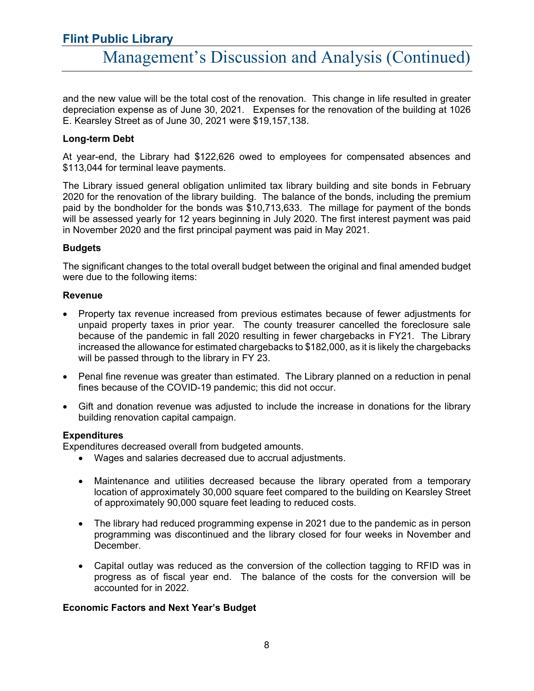# Management's Discussion and Analysis (Continued)

and the new value will be the total cost of the renovation. This change in life resulted in greater depreciation expense as of June 30, 2021. Expenses for the renovation of the building at 1026 E. Kearsley Street as of June 30, 2021 were \$19,157,138.

#### **Long-term Debt**

At year-end, the Library had \$122,626 owed to employees for compensated absences and \$113,044 for terminal leave payments.

The Library issued general obligation unlimited tax library building and site bonds in February 2020 for the renovation of the library building. The balance of the bonds, including the premium paid by the bondholder for the bonds was \$10,713,633. The millage for payment of the bonds will be assessed yearly for 12 years beginning in July 2020. The first interest payment was paid in November 2020 and the first principal payment was paid in May 2021.

#### **Budgets**

The significant changes to the total overall budget between the original and final amended budget were due to the following items:

#### **Revenue**

- Property tax revenue increased from previous estimates because of fewer adjustments for unpaid property taxes in prior year. The county treasurer cancelled the foreclosure sale because of the pandemic in fall 2020 resulting in fewer chargebacks in FY21. The Library increased the allowance for estimated chargebacks to \$182,000, as it is likely the chargebacks will be passed through to the library in FY 23.
- Penal fine revenue was greater than estimated. The Library planned on a reduction in penal fines because of the COVID-19 pandemic; this did not occur.
- Gift and donation revenue was adjusted to include the increase in donations for the library building renovation capital campaign.

#### **Expenditures**

Expenditures decreased overall from budgeted amounts.

- Wages and salaries decreased due to accrual adjustments.
- Maintenance and utilities decreased because the library operated from a temporary location of approximately 30,000 square feet compared to the building on Kearsley Street of approximately 90,000 square feet leading to reduced costs.
- The library had reduced programming expense in 2021 due to the pandemic as in person programming was discontinued and the library closed for four weeks in November and December.
- Capital outlay was reduced as the conversion of the collection tagging to RFID was in progress as of fiscal year end. The balance of the costs for the conversion will be accounted for in 2022.

#### **Economic Factors and Next Year's Budget**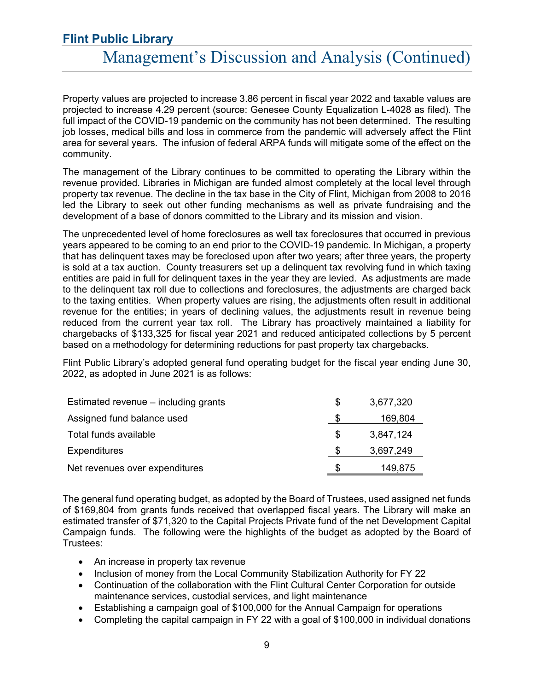# Management's Discussion and Analysis (Continued)

Property values are projected to increase 3.86 percent in fiscal year 2022 and taxable values are projected to increase 4.29 percent (source: Genesee County Equalization L-4028 as filed). The full impact of the COVID-19 pandemic on the community has not been determined. The resulting job losses, medical bills and loss in commerce from the pandemic will adversely affect the Flint area for several years. The infusion of federal ARPA funds will mitigate some of the effect on the community.

The management of the Library continues to be committed to operating the Library within the revenue provided. Libraries in Michigan are funded almost completely at the local level through property tax revenue. The decline in the tax base in the City of Flint, Michigan from 2008 to 2016 led the Library to seek out other funding mechanisms as well as private fundraising and the development of a base of donors committed to the Library and its mission and vision.

The unprecedented level of home foreclosures as well tax foreclosures that occurred in previous years appeared to be coming to an end prior to the COVID-19 pandemic. In Michigan, a property that has delinquent taxes may be foreclosed upon after two years; after three years, the property is sold at a tax auction. County treasurers set up a delinquent tax revolving fund in which taxing entities are paid in full for delinquent taxes in the year they are levied. As adjustments are made to the delinquent tax roll due to collections and foreclosures, the adjustments are charged back to the taxing entities. When property values are rising, the adjustments often result in additional revenue for the entities; in years of declining values, the adjustments result in revenue being reduced from the current year tax roll. The Library has proactively maintained a liability for chargebacks of \$133,325 for fiscal year 2021 and reduced anticipated collections by 5 percent based on a methodology for determining reductions for past property tax chargebacks.

Flint Public Library's adopted general fund operating budget for the fiscal year ending June 30, 2022, as adopted in June 2021 is as follows:

| Estimated revenue – including grants |     | 3,677,320 |
|--------------------------------------|-----|-----------|
| Assigned fund balance used           |     | 169,804   |
| Total funds available                | \$. | 3,847,124 |
| <b>Expenditures</b>                  |     | 3,697,249 |
| Net revenues over expenditures       | S   | 149,875   |

The general fund operating budget, as adopted by the Board of Trustees, used assigned net funds of \$169,804 from grants funds received that overlapped fiscal years. The Library will make an estimated transfer of \$71,320 to the Capital Projects Private fund of the net Development Capital Campaign funds. The following were the highlights of the budget as adopted by the Board of Trustees:

- An increase in property tax revenue
- Inclusion of money from the Local Community Stabilization Authority for FY 22
- Continuation of the collaboration with the Flint Cultural Center Corporation for outside maintenance services, custodial services, and light maintenance
- Establishing a campaign goal of \$100,000 for the Annual Campaign for operations
- Completing the capital campaign in FY 22 with a goal of \$100,000 in individual donations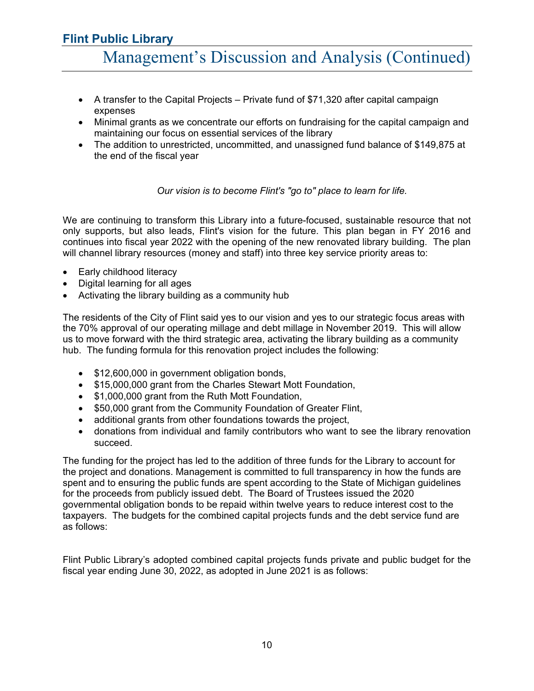# Management's Discussion and Analysis (Continued)

- A transfer to the Capital Projects Private fund of \$71,320 after capital campaign expenses
- Minimal grants as we concentrate our efforts on fundraising for the capital campaign and maintaining our focus on essential services of the library
- The addition to unrestricted, uncommitted, and unassigned fund balance of \$149,875 at the end of the fiscal year

### *Our vision is to become Flint's "go to" place to learn for life.*

We are continuing to transform this Library into a future-focused, sustainable resource that not only supports, but also leads, Flint's vision for the future. This plan began in FY 2016 and continues into fiscal year 2022 with the opening of the new renovated library building. The plan will channel library resources (money and staff) into three key service priority areas to:

- Early childhood literacy
- Digital learning for all ages
- Activating the library building as a community hub

The residents of the City of Flint said yes to our vision and yes to our strategic focus areas with the 70% approval of our operating millage and debt millage in November 2019. This will allow us to move forward with the third strategic area, activating the library building as a community hub. The funding formula for this renovation project includes the following:

- \$12,600,000 in government obligation bonds,
- \$15,000,000 grant from the Charles Stewart Mott Foundation,
- \$1,000,000 grant from the Ruth Mott Foundation,
- \$50,000 grant from the Community Foundation of Greater Flint,
- additional grants from other foundations towards the project,
- donations from individual and family contributors who want to see the library renovation succeed.

The funding for the project has led to the addition of three funds for the Library to account for the project and donations. Management is committed to full transparency in how the funds are spent and to ensuring the public funds are spent according to the State of Michigan guidelines for the proceeds from publicly issued debt. The Board of Trustees issued the 2020 governmental obligation bonds to be repaid within twelve years to reduce interest cost to the taxpayers. The budgets for the combined capital projects funds and the debt service fund are as follows:

Flint Public Library's adopted combined capital projects funds private and public budget for the fiscal year ending June 30, 2022, as adopted in June 2021 is as follows: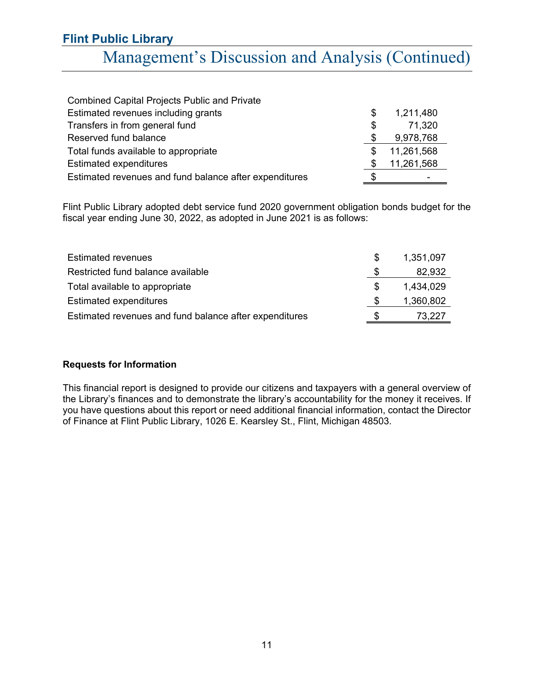# Management's Discussion and Analysis (Continued)

| <b>Combined Capital Projects Public and Private</b>    |    |            |
|--------------------------------------------------------|----|------------|
| Estimated revenues including grants                    | S  | 1,211,480  |
| Transfers in from general fund                         | \$ | 71,320     |
| Reserved fund balance                                  | S  | 9,978,768  |
| Total funds available to appropriate                   | S  | 11,261,568 |
| <b>Estimated expenditures</b>                          |    | 11,261,568 |
| Estimated revenues and fund balance after expenditures | \$ |            |

Flint Public Library adopted debt service fund 2020 government obligation bonds budget for the fiscal year ending June 30, 2022, as adopted in June 2021 is as follows:

| <b>Estimated revenues</b>                              | S   | 1,351,097 |
|--------------------------------------------------------|-----|-----------|
| Restricted fund balance available                      |     | 82,932    |
| Total available to appropriate                         | \$. | 1.434.029 |
| <b>Estimated expenditures</b>                          |     | 1,360,802 |
| Estimated revenues and fund balance after expenditures |     | 73,227    |

#### **Requests for Information**

This financial report is designed to provide our citizens and taxpayers with a general overview of the Library's finances and to demonstrate the library's accountability for the money it receives. If you have questions about this report or need additional financial information, contact the Director of Finance at Flint Public Library, 1026 E. Kearsley St., Flint, Michigan 48503.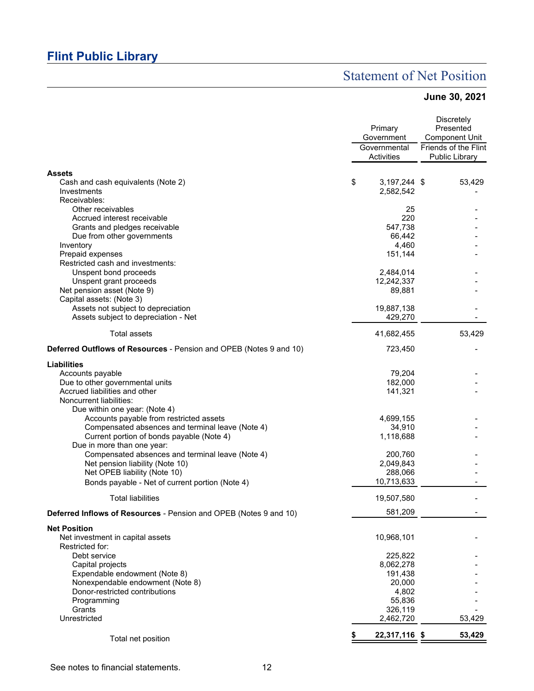# Statement of Net Position

# **June 30, 2021**

|                                                                    | Primary<br>Government      | Discretely<br>Presented<br><b>Component Unit</b> |
|--------------------------------------------------------------------|----------------------------|--------------------------------------------------|
|                                                                    | Governmental<br>Activities | Friends of the Flint<br><b>Public Library</b>    |
| <b>Assets</b>                                                      |                            |                                                  |
| Cash and cash equivalents (Note 2)                                 | \$<br>3, 197, 244 \$       | 53,429                                           |
| Investments                                                        | 2,582,542                  |                                                  |
| Receivables:                                                       |                            |                                                  |
| Other receivables                                                  | 25                         |                                                  |
| Accrued interest receivable                                        | 220                        |                                                  |
| Grants and pledges receivable                                      | 547,738                    |                                                  |
| Due from other governments                                         | 66,442                     |                                                  |
| Inventory                                                          | 4,460                      |                                                  |
| Prepaid expenses                                                   | 151,144                    |                                                  |
| Restricted cash and investments:                                   |                            |                                                  |
| Unspent bond proceeds<br>Unspent grant proceeds                    | 2,484,014<br>12,242,337    |                                                  |
| Net pension asset (Note 9)                                         | 89,881                     |                                                  |
| Capital assets: (Note 3)                                           |                            |                                                  |
| Assets not subject to depreciation                                 | 19,887,138                 |                                                  |
| Assets subject to depreciation - Net                               | 429,270                    |                                                  |
| <b>Total assets</b>                                                | 41,682,455                 | 53,429                                           |
| Deferred Outflows of Resources - Pension and OPEB (Notes 9 and 10) | 723,450                    |                                                  |
| <b>Liabilities</b>                                                 |                            |                                                  |
| Accounts payable                                                   | 79,204                     |                                                  |
| Due to other governmental units                                    | 182,000                    |                                                  |
| Accrued liabilities and other                                      | 141,321                    |                                                  |
| Noncurrent liabilities:                                            |                            |                                                  |
| Due within one year: (Note 4)                                      |                            |                                                  |
| Accounts payable from restricted assets                            | 4,699,155                  |                                                  |
| Compensated absences and terminal leave (Note 4)                   | 34,910                     |                                                  |
| Current portion of bonds payable (Note 4)                          | 1,118,688                  |                                                  |
| Due in more than one year:                                         |                            |                                                  |
| Compensated absences and terminal leave (Note 4)                   | 200,760                    |                                                  |
| Net pension liability (Note 10)                                    | 2,049,843                  |                                                  |
| Net OPEB liability (Note 10)                                       | 288,066                    |                                                  |
| Bonds payable - Net of current portion (Note 4)                    | 10,713,633                 |                                                  |
| <b>Total liabilities</b>                                           | 19,507,580                 |                                                  |
| Deferred Inflows of Resources - Pension and OPEB (Notes 9 and 10)  | 581,209                    |                                                  |
| <b>Net Position</b>                                                |                            |                                                  |
| Net investment in capital assets                                   | 10,968,101                 |                                                  |
| Restricted for:                                                    |                            |                                                  |
| Debt service                                                       | 225,822                    |                                                  |
| Capital projects                                                   | 8,062,278                  |                                                  |
| Expendable endowment (Note 8)                                      | 191,438                    |                                                  |
| Nonexpendable endowment (Note 8)                                   | 20,000                     |                                                  |
| Donor-restricted contributions                                     | 4,802                      |                                                  |
| Programming                                                        | 55,836                     |                                                  |
| Grants                                                             | 326,119                    |                                                  |
| Unrestricted                                                       | 2,462,720                  | 53,429                                           |
| Total net position                                                 | 22,317,116 \$              | 53,429                                           |

See notes to financial statements. 12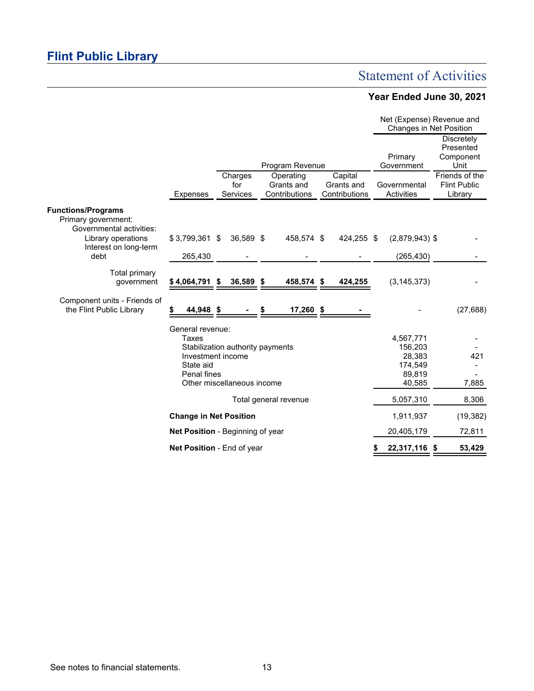# Statement of Activities

## **Year Ended June 30, 2021**

|                                                                              |                                                                                                                                              |                                                               |                         |                       | Net (Expense) Revenue and<br>Changes in Net Position |                                              |
|------------------------------------------------------------------------------|----------------------------------------------------------------------------------------------------------------------------------------------|---------------------------------------------------------------|-------------------------|-----------------------|------------------------------------------------------|----------------------------------------------|
|                                                                              |                                                                                                                                              |                                                               | Program Revenue         |                       | Primary<br>Government                                | Discretely<br>Presented<br>Component<br>Unit |
|                                                                              |                                                                                                                                              | Charges<br>for                                                | Operating<br>Grants and | Capital<br>Grants and | Governmental                                         | Friends of the<br><b>Flint Public</b>        |
|                                                                              | <b>Expenses</b>                                                                                                                              | Services                                                      | Contributions           | Contributions         | <b>Activities</b>                                    | Library                                      |
| <b>Functions/Programs</b><br>Primary government:<br>Governmental activities: |                                                                                                                                              |                                                               |                         |                       |                                                      |                                              |
| Library operations                                                           | $$3,799,361$ \$                                                                                                                              | 36,589 \$                                                     | 458,574 \$              | 424,255 \$            | $(2,879,943)$ \$                                     |                                              |
| Interest on long-term<br>debt                                                | 265,430                                                                                                                                      |                                                               |                         |                       | (265, 430)                                           |                                              |
| <b>Total primary</b><br>government                                           | $$4,064,791$ \$                                                                                                                              | 36,589 \$                                                     | 458,574 \$              | 424,255               | (3, 145, 373)                                        |                                              |
| Component units - Friends of<br>the Flint Public Library                     | 44.948 \$                                                                                                                                    |                                                               | 17,260 \$               |                       |                                                      | (27, 688)                                    |
|                                                                              | General revenue:<br>Taxes<br>Stabilization authority payments<br>Investment income<br>State aid<br>Penal fines<br>Other miscellaneous income | 4,567,771<br>156,203<br>28,383<br>174,549<br>89,819<br>40,585 | 421<br>7,885            |                       |                                                      |                                              |
|                                                                              |                                                                                                                                              |                                                               | Total general revenue   |                       | 5,057,310                                            | 8,306                                        |
|                                                                              | <b>Change in Net Position</b>                                                                                                                |                                                               |                         |                       | 1,911,937                                            | (19, 382)                                    |
|                                                                              | Net Position - Beginning of year                                                                                                             |                                                               |                         |                       | 20,405,179                                           | 72,811                                       |
|                                                                              | Net Position - End of year                                                                                                                   |                                                               |                         |                       | 22,317,116 \$<br>S                                   | 53.429                                       |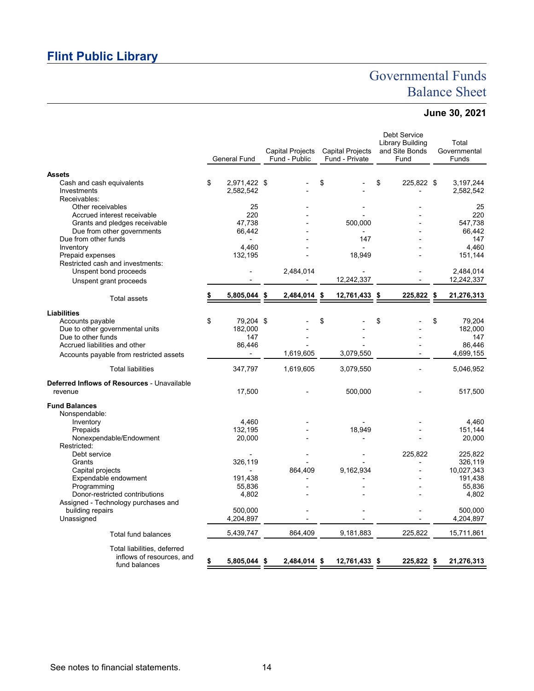# Governmental Funds Balance Sheet

# **June 30, 2021**

|                                                          | <b>General Fund</b>             |      | <b>Capital Projects</b><br>Fund - Public | <b>Capital Projects</b><br>Fund - Private | Debt Service<br>Library Building<br>and Site Bonds<br>Fund | Total<br>Governmental<br>Funds |
|----------------------------------------------------------|---------------------------------|------|------------------------------------------|-------------------------------------------|------------------------------------------------------------|--------------------------------|
| <b>Assets</b>                                            |                                 |      |                                          |                                           |                                                            |                                |
| Cash and cash equivalents<br>Investments<br>Receivables: | \$<br>2,971,422 \$<br>2,582,542 |      |                                          | \$                                        | \$<br>225,822 \$                                           | 3,197,244<br>2,582,542         |
| Other receivables                                        | 25                              |      |                                          |                                           |                                                            | 25                             |
| Accrued interest receivable                              | 220                             |      |                                          |                                           |                                                            | 220                            |
| Grants and pledges receivable                            | 47,738                          |      |                                          | 500.000                                   |                                                            | 547,738                        |
| Due from other governments                               | 66,442                          |      |                                          |                                           |                                                            | 66.442                         |
| Due from other funds                                     |                                 |      |                                          | 147                                       |                                                            | 147                            |
| Inventory<br>Prepaid expenses                            | 4,460                           |      |                                          |                                           |                                                            | 4,460                          |
| Restricted cash and investments:                         | 132,195                         |      |                                          | 18,949                                    |                                                            | 151,144                        |
| Unspent bond proceeds                                    |                                 |      | 2,484,014                                |                                           |                                                            | 2,484,014                      |
| Unspent grant proceeds                                   |                                 |      |                                          | 12,242,337                                |                                                            | 12,242,337                     |
| <b>Total assets</b>                                      | 5,805,044 \$                    |      | 2,484,014 \$                             | 12,761,433 \$                             | 225,822 \$                                                 | 21,276,313                     |
| <b>Liabilities</b>                                       |                                 |      |                                          |                                           |                                                            |                                |
| Accounts payable                                         | \$<br>79,204 \$                 |      |                                          | \$                                        | \$                                                         | \$<br>79,204                   |
| Due to other governmental units                          | 182,000                         |      |                                          |                                           |                                                            | 182,000                        |
| Due to other funds                                       | 147                             |      |                                          |                                           |                                                            | 147                            |
| Accrued liabilities and other                            | 86,446                          |      |                                          |                                           |                                                            | 86,446                         |
| Accounts payable from restricted assets                  |                                 |      | 1,619,605                                | 3,079,550                                 |                                                            | 4,699,155                      |
| <b>Total liabilities</b>                                 | 347,797                         |      | 1,619,605                                | 3,079,550                                 |                                                            | 5,046,952                      |
| Deferred Inflows of Resources - Unavailable<br>revenue   | 17,500                          |      |                                          | 500,000                                   |                                                            | 517,500                        |
|                                                          |                                 |      |                                          |                                           |                                                            |                                |
| <b>Fund Balances</b>                                     |                                 |      |                                          |                                           |                                                            |                                |
| Nonspendable:                                            |                                 |      |                                          |                                           |                                                            |                                |
| Inventory                                                | 4,460                           |      |                                          |                                           |                                                            | 4.460                          |
| Prepaids                                                 | 132,195                         |      |                                          | 18,949                                    |                                                            | 151,144                        |
| Nonexpendable/Endowment<br>Restricted:                   | 20,000                          |      |                                          |                                           |                                                            | 20,000                         |
| Debt service                                             |                                 |      |                                          |                                           | 225,822                                                    | 225,822                        |
| Grants                                                   | 326,119                         |      |                                          |                                           |                                                            | 326,119                        |
| Capital projects                                         |                                 |      | 864.409                                  | 9,162,934                                 |                                                            | 10,027,343                     |
| Expendable endowment                                     | 191,438                         |      |                                          |                                           |                                                            | 191,438                        |
| Programming                                              | 55,836                          |      |                                          |                                           |                                                            | 55,836                         |
| Donor-restricted contributions                           | 4,802                           |      |                                          |                                           |                                                            | 4,802                          |
| Assigned - Technology purchases and                      |                                 |      |                                          |                                           |                                                            |                                |
| building repairs                                         | 500,000                         |      |                                          |                                           |                                                            | 500,000                        |
| Unassigned                                               | 4,204,897                       |      |                                          |                                           |                                                            | 4,204,897                      |
| <b>Total fund balances</b>                               | 5,439,747                       |      | 864,409                                  | 9,181,883                                 | 225,822                                                    | 15,711,861                     |
| Total liabilities, deferred                              |                                 |      |                                          |                                           |                                                            |                                |
| inflows of resources, and<br>fund balances               | \$<br>5,805,044                 | - 56 | 2,484,014 \$                             | 12,761,433 \$                             | 225,822 \$                                                 | 21,276,313                     |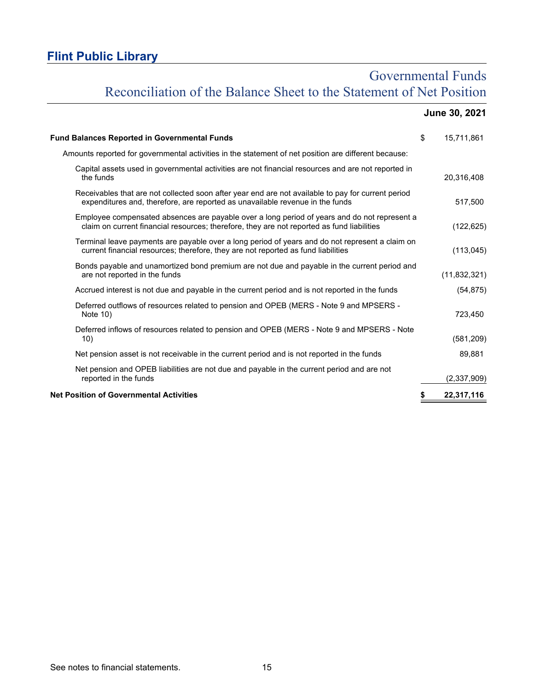# Governmental Funds

Reconciliation of the Balance Sheet to the Statement of Net Position

|                                                                                                                                                                                            | June 30, 2021    |
|--------------------------------------------------------------------------------------------------------------------------------------------------------------------------------------------|------------------|
| Fund Balances Reported in Governmental Funds                                                                                                                                               | \$<br>15,711,861 |
| Amounts reported for governmental activities in the statement of net position are different because:                                                                                       |                  |
| Capital assets used in governmental activities are not financial resources and are not reported in<br>the funds                                                                            | 20,316,408       |
| Receivables that are not collected soon after year end are not available to pay for current period<br>expenditures and, therefore, are reported as unavailable revenue in the funds        | 517,500          |
| Employee compensated absences are payable over a long period of years and do not represent a<br>claim on current financial resources; therefore, they are not reported as fund liabilities | (122, 625)       |
| Terminal leave payments are payable over a long period of years and do not represent a claim on<br>current financial resources; therefore, they are not reported as fund liabilities       | (113, 045)       |
| Bonds payable and unamortized bond premium are not due and payable in the current period and<br>are not reported in the funds                                                              | (11,832,321)     |
| Accrued interest is not due and payable in the current period and is not reported in the funds                                                                                             | (54, 875)        |
| Deferred outflows of resources related to pension and OPEB (MERS - Note 9 and MPSERS -<br>Note 10)                                                                                         | 723,450          |
| Deferred inflows of resources related to pension and OPEB (MERS - Note 9 and MPSERS - Note<br>10)                                                                                          | (581, 209)       |
| Net pension asset is not receivable in the current period and is not reported in the funds                                                                                                 | 89,881           |
| Net pension and OPEB liabilities are not due and payable in the current period and are not<br>reported in the funds                                                                        | (2,337,909)      |
| Net Position of Governmental Activities                                                                                                                                                    | 22,317,116       |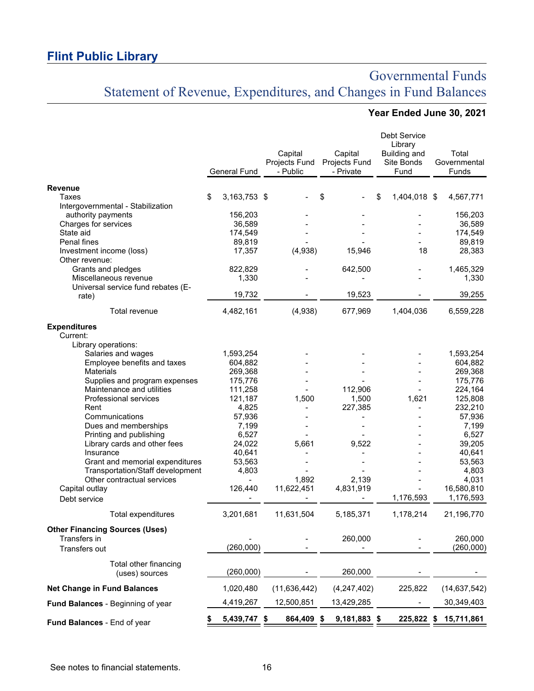# Governmental Funds Statement of Revenue, Expenditures, and Changes in Fund Balances

# **Year Ended June 30, 2021**

|                                             | <b>General Fund</b> | Capital<br>Projects Fund<br>- Public | Capital<br>Projects Fund<br>- Private | Debt Service<br>Library<br><b>Building and</b><br>Site Bonds<br>Fund |    | Total<br>Governmental<br>Funds |
|---------------------------------------------|---------------------|--------------------------------------|---------------------------------------|----------------------------------------------------------------------|----|--------------------------------|
| Revenue                                     |                     |                                      |                                       |                                                                      |    |                                |
| Taxes                                       | \$<br>3,163,753 \$  |                                      | \$                                    | \$<br>1,404,018 \$                                                   |    | 4,567,771                      |
| Intergovernmental - Stabilization           |                     |                                      |                                       |                                                                      |    |                                |
| authority payments                          | 156,203             |                                      |                                       |                                                                      |    | 156,203                        |
| Charges for services                        | 36,589              |                                      |                                       |                                                                      |    | 36,589                         |
| State aid                                   | 174,549             |                                      |                                       |                                                                      |    | 174,549                        |
| Penal fines                                 | 89,819              |                                      |                                       |                                                                      |    | 89,819                         |
| Investment income (loss)                    | 17,357              | (4,938)                              | 15,946                                | 18                                                                   |    | 28,383                         |
| Other revenue:                              |                     |                                      |                                       |                                                                      |    |                                |
| Grants and pledges<br>Miscellaneous revenue | 822,829<br>1,330    |                                      | 642,500                               |                                                                      |    | 1,465,329                      |
| Universal service fund rebates (E-          |                     |                                      |                                       |                                                                      |    | 1,330                          |
| rate)                                       | 19,732              |                                      | 19,523                                |                                                                      |    | 39,255                         |
| Total revenue                               | 4,482,161           | (4,938)                              | 677,969                               | 1,404,036                                                            |    | 6,559,228                      |
| <b>Expenditures</b>                         |                     |                                      |                                       |                                                                      |    |                                |
| Current:                                    |                     |                                      |                                       |                                                                      |    |                                |
| Library operations:                         |                     |                                      |                                       |                                                                      |    |                                |
| Salaries and wages                          | 1,593,254           |                                      |                                       |                                                                      |    | 1,593,254                      |
| Employee benefits and taxes                 | 604,882             |                                      |                                       |                                                                      |    | 604,882                        |
| <b>Materials</b>                            | 269,368             |                                      |                                       |                                                                      |    | 269,368                        |
| Supplies and program expenses               | 175,776             |                                      |                                       |                                                                      |    | 175,776                        |
| Maintenance and utilities                   | 111,258             |                                      | 112,906                               |                                                                      |    | 224,164                        |
| Professional services                       | 121,187             | 1,500                                | 1,500                                 | 1,621                                                                |    | 125,808                        |
| Rent                                        | 4,825               |                                      | 227,385                               |                                                                      |    | 232,210                        |
| Communications<br>Dues and memberships      | 57,936<br>7,199     |                                      |                                       |                                                                      |    | 57,936<br>7,199                |
| Printing and publishing                     | 6,527               |                                      |                                       |                                                                      |    | 6,527                          |
| Library cards and other fees                | 24,022              | 5,661                                | 9,522                                 |                                                                      |    | 39,205                         |
| Insurance                                   | 40,641              |                                      |                                       |                                                                      |    | 40,641                         |
| Grant and memorial expenditures             | 53,563              |                                      |                                       |                                                                      |    | 53,563                         |
| Transportation/Staff development            | 4,803               |                                      |                                       |                                                                      |    | 4,803                          |
| Other contractual services                  |                     | 1,892                                | 2,139                                 |                                                                      |    | 4,031                          |
| Capital outlay                              | 126,440             | 11,622,451                           | 4,831,919                             |                                                                      |    | 16,580,810                     |
| Debt service                                |                     |                                      |                                       | 1,176,593                                                            |    | 1,176,593                      |
| Total expenditures                          | 3,201,681           | 11,631,504                           | 5,185,371                             | 1,178,214                                                            |    | 21,196,770                     |
| <b>Other Financing Sources (Uses)</b>       |                     |                                      |                                       |                                                                      |    |                                |
| Transfers in                                |                     |                                      | 260,000                               |                                                                      |    | 260,000                        |
| Transfers out                               | (260,000)           |                                      |                                       |                                                                      |    | (260,000)                      |
| Total other financing<br>(uses) sources     | (260,000)           |                                      | 260,000                               |                                                                      |    |                                |
| <b>Net Change in Fund Balances</b>          | 1,020,480           | (11, 636, 442)                       | (4, 247, 402)                         | 225,822                                                              |    | (14, 637, 542)                 |
| Fund Balances - Beginning of year           | 4,419,267           | 12,500,851                           | 13,429,285                            |                                                                      |    | 30,349,403                     |
| Fund Balances - End of year                 | 5,439,747 \$        | 864,409 \$                           | 9,181,883 \$                          | 225,822                                                              | S. | 15,711,861                     |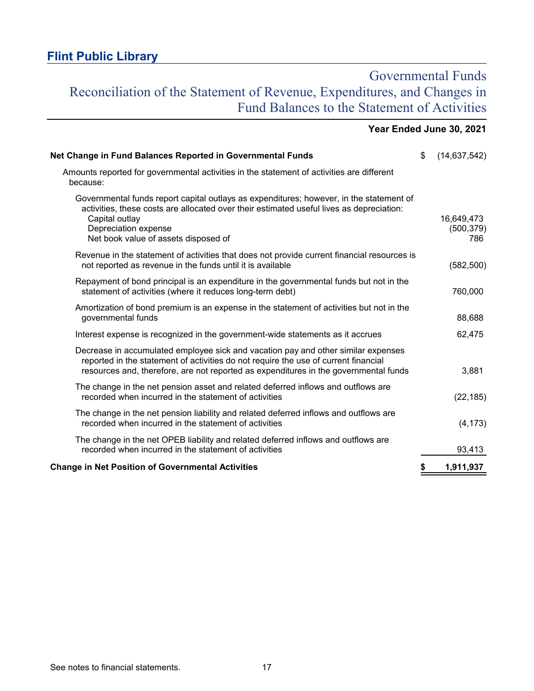# Governmental Funds Reconciliation of the Statement of Revenue, Expenditures, and Changes in Fund Balances to the Statement of Activities

| Net Change in Fund Balances Reported in Governmental Funds                                                                                                                                                                                                            | \$<br>(14, 637, 542)            |
|-----------------------------------------------------------------------------------------------------------------------------------------------------------------------------------------------------------------------------------------------------------------------|---------------------------------|
| Amounts reported for governmental activities in the statement of activities are different<br>because:                                                                                                                                                                 |                                 |
| Governmental funds report capital outlays as expenditures; however, in the statement of<br>activities, these costs are allocated over their estimated useful lives as depreciation:<br>Capital outlay<br>Depreciation expense<br>Net book value of assets disposed of | 16,649,473<br>(500, 379)<br>786 |
| Revenue in the statement of activities that does not provide current financial resources is<br>not reported as revenue in the funds until it is available                                                                                                             | (582, 500)                      |
| Repayment of bond principal is an expenditure in the governmental funds but not in the<br>statement of activities (where it reduces long-term debt)                                                                                                                   | 760,000                         |
| Amortization of bond premium is an expense in the statement of activities but not in the<br>governmental funds                                                                                                                                                        | 88,688                          |
| Interest expense is recognized in the government-wide statements as it accrues                                                                                                                                                                                        | 62,475                          |
| Decrease in accumulated employee sick and vacation pay and other similar expenses<br>reported in the statement of activities do not require the use of current financial<br>resources and, therefore, are not reported as expenditures in the governmental funds      | 3,881                           |
| The change in the net pension asset and related deferred inflows and outflows are<br>recorded when incurred in the statement of activities                                                                                                                            | (22, 185)                       |
| The change in the net pension liability and related deferred inflows and outflows are<br>recorded when incurred in the statement of activities                                                                                                                        | (4, 173)                        |
| The change in the net OPEB liability and related deferred inflows and outflows are<br>recorded when incurred in the statement of activities                                                                                                                           | 93,413                          |
| <b>Change in Net Position of Governmental Activities</b>                                                                                                                                                                                                              | \$<br>1,911,937                 |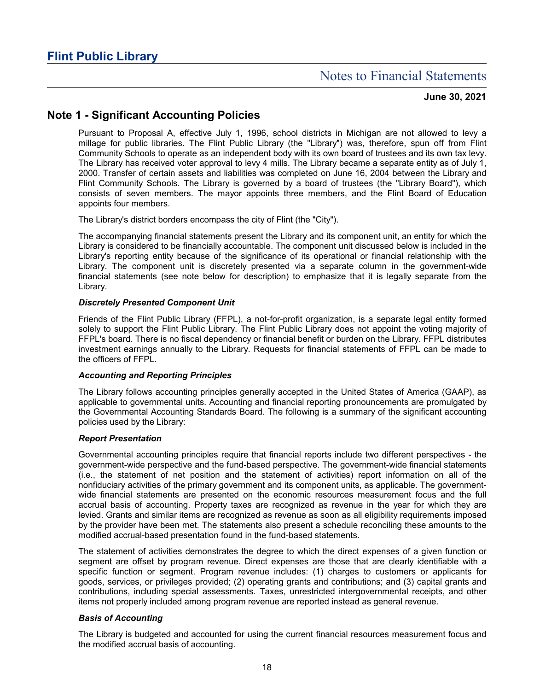#### **June 30, 2021**

### **Note 1 - Significant Accounting Policies**

Pursuant to Proposal A, effective July 1, 1996, school districts in Michigan are not allowed to levy a millage for public libraries. The Flint Public Library (the "Library") was, therefore, spun off from Flint Community Schools to operate as an independent body with its own board of trustees and its own tax levy. The Library has received voter approval to levy 4 mills. The Library became a separate entity as of July 1, 2000. Transfer of certain assets and liabilities was completed on June 16, 2004 between the Library and Flint Community Schools. The Library is governed by a board of trustees (the "Library Board"), which consists of seven members. The mayor appoints three members, and the Flint Board of Education appoints four members.

The Library's district borders encompass the city of Flint (the "City").

The accompanying financial statements present the Library and its component unit, an entity for which the Library is considered to be financially accountable. The component unit discussed below is included in the Library's reporting entity because of the significance of its operational or financial relationship with the Library. The component unit is discretely presented via a separate column in the government-wide financial statements (see note below for description) to emphasize that it is legally separate from the Library.

#### *Discretely Presented Component Unit*

Friends of the Flint Public Library (FFPL), a not-for-profit organization, is a separate legal entity formed solely to support the Flint Public Library. The Flint Public Library does not appoint the voting majority of FFPL's board. There is no fiscal dependency or financial benefit or burden on the Library. FFPL distributes investment earnings annually to the Library. Requests for financial statements of FFPL can be made to the officers of FFPL.

#### *Accounting and Reporting Principles*

The Library follows accounting principles generally accepted in the United States of America (GAAP), as applicable to governmental units. Accounting and financial reporting pronouncements are promulgated by the Governmental Accounting Standards Board. The following is a summary of the significant accounting policies used by the Library:

#### *Report Presentation*

Governmental accounting principles require that financial reports include two different perspectives - the government-wide perspective and the fund-based perspective. The government-wide financial statements (i.e., the statement of net position and the statement of activities) report information on all of the nonfiduciary activities of the primary government and its component units, as applicable. The governmentwide financial statements are presented on the economic resources measurement focus and the full accrual basis of accounting. Property taxes are recognized as revenue in the year for which they are levied. Grants and similar items are recognized as revenue as soon as all eligibility requirements imposed by the provider have been met. The statements also present a schedule reconciling these amounts to the modified accrual-based presentation found in the fund-based statements.

The statement of activities demonstrates the degree to which the direct expenses of a given function or segment are offset by program revenue. Direct expenses are those that are clearly identifiable with a specific function or segment. Program revenue includes: (1) charges to customers or applicants for goods, services, or privileges provided; (2) operating grants and contributions; and (3) capital grants and contributions, including special assessments. Taxes, unrestricted intergovernmental receipts, and other items not properly included among program revenue are reported instead as general revenue.

#### *Basis of Accounting*

The Library is budgeted and accounted for using the current financial resources measurement focus and the modified accrual basis of accounting.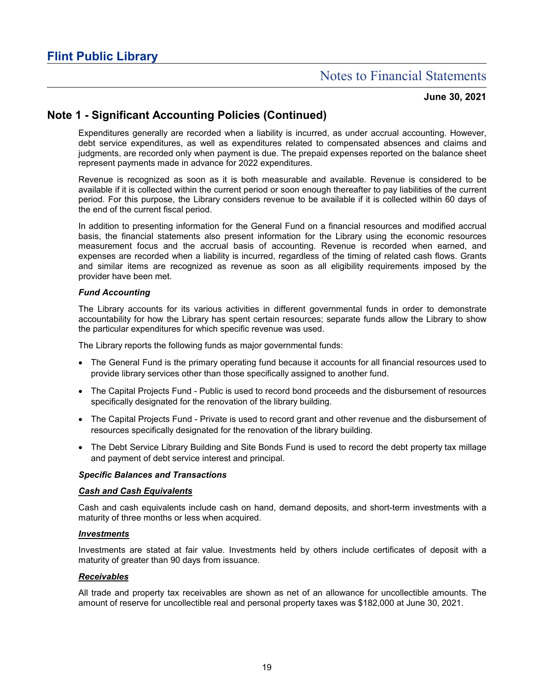#### **June 30, 2021**

## **Note 1 - Significant Accounting Policies (Continued)**

Expenditures generally are recorded when a liability is incurred, as under accrual accounting. However, debt service expenditures, as well as expenditures related to compensated absences and claims and judgments, are recorded only when payment is due. The prepaid expenses reported on the balance sheet represent payments made in advance for 2022 expenditures.

Revenue is recognized as soon as it is both measurable and available. Revenue is considered to be available if it is collected within the current period or soon enough thereafter to pay liabilities of the current period. For this purpose, the Library considers revenue to be available if it is collected within 60 days of the end of the current fiscal period.

In addition to presenting information for the General Fund on a financial resources and modified accrual basis, the financial statements also present information for the Library using the economic resources measurement focus and the accrual basis of accounting. Revenue is recorded when earned, and expenses are recorded when a liability is incurred, regardless of the timing of related cash flows. Grants and similar items are recognized as revenue as soon as all eligibility requirements imposed by the provider have been met.

#### *Fund Accounting*

The Library accounts for its various activities in different governmental funds in order to demonstrate accountability for how the Library has spent certain resources; separate funds allow the Library to show the particular expenditures for which specific revenue was used.

The Library reports the following funds as major governmental funds:

- The General Fund is the primary operating fund because it accounts for all financial resources used to provide library services other than those specifically assigned to another fund.
- The Capital Projects Fund Public is used to record bond proceeds and the disbursement of resources specifically designated for the renovation of the library building.
- The Capital Projects Fund Private is used to record grant and other revenue and the disbursement of resources specifically designated for the renovation of the library building.
- The Debt Service Library Building and Site Bonds Fund is used to record the debt property tax millage and payment of debt service interest and principal.

#### *Specific Balances and Transactions*

#### *Cash and Cash Equivalents*

Cash and cash equivalents include cash on hand, demand deposits, and short-term investments with a maturity of three months or less when acquired.

#### *Investments*

Investments are stated at fair value. Investments held by others include certificates of deposit with a maturity of greater than 90 days from issuance.

#### *Receivables*

All trade and property tax receivables are shown as net of an allowance for uncollectible amounts. The amount of reserve for uncollectible real and personal property taxes was \$182,000 at June 30, 2021.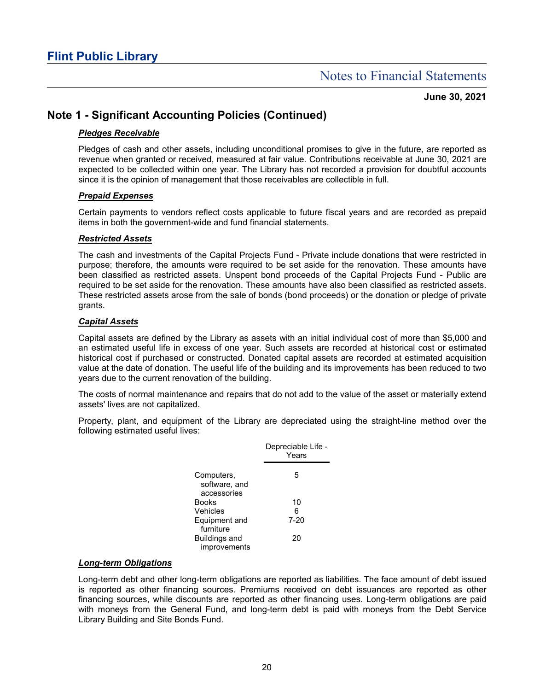#### **June 30, 2021**

### **Note 1 - Significant Accounting Policies (Continued)**

#### *Pledges Receivable*

Pledges of cash and other assets, including unconditional promises to give in the future, are reported as revenue when granted or received, measured at fair value. Contributions receivable at June 30, 2021 are expected to be collected within one year. The Library has not recorded a provision for doubtful accounts since it is the opinion of management that those receivables are collectible in full.

#### *Prepaid Expenses*

Certain payments to vendors reflect costs applicable to future fiscal years and are recorded as prepaid items in both the government-wide and fund financial statements.

#### *Restricted Assets*

The cash and investments of the Capital Projects Fund - Private include donations that were restricted in purpose; therefore, the amounts were required to be set aside for the renovation. These amounts have been classified as restricted assets. Unspent bond proceeds of the Capital Projects Fund - Public are required to be set aside for the renovation. These amounts have also been classified as restricted assets. These restricted assets arose from the sale of bonds (bond proceeds) or the donation or pledge of private grants.

#### *Capital Assets*

Capital assets are defined by the Library as assets with an initial individual cost of more than \$5,000 and an estimated useful life in excess of one year. Such assets are recorded at historical cost or estimated historical cost if purchased or constructed. Donated capital assets are recorded at estimated acquisition value at the date of donation. The useful life of the building and its improvements has been reduced to two years due to the current renovation of the building.

The costs of normal maintenance and repairs that do not add to the value of the asset or materially extend assets' lives are not capitalized.

Property, plant, and equipment of the Library are depreciated using the straight-line method over the following estimated useful lives:

|                                            | Depreciable Life -<br>Years |
|--------------------------------------------|-----------------------------|
| Computers,<br>software, and<br>accessories | 5                           |
| <b>Books</b>                               | 10                          |
| Vehicles                                   | 6                           |
| Equipment and<br>furniture                 | $7 - 20$                    |
| <b>Buildings and</b><br>improvements       | 20                          |

#### *Long-term Obligations*

Long-term debt and other long-term obligations are reported as liabilities. The face amount of debt issued is reported as other financing sources. Premiums received on debt issuances are reported as other financing sources, while discounts are reported as other financing uses. Long-term obligations are paid with moneys from the General Fund, and long-term debt is paid with moneys from the Debt Service Library Building and Site Bonds Fund.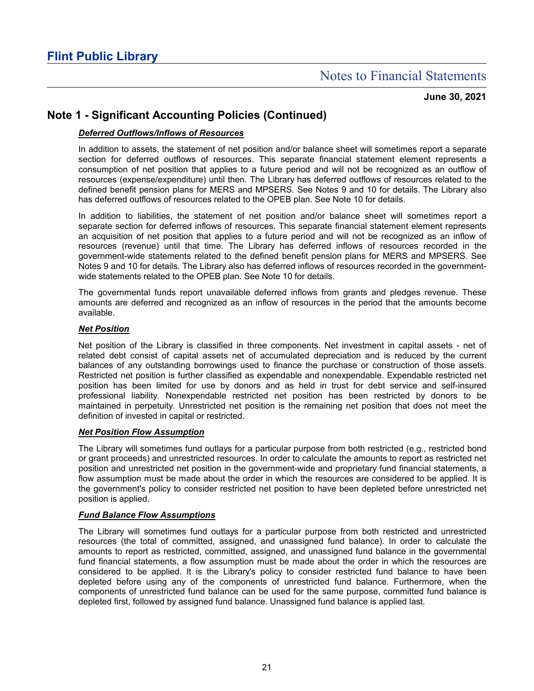**June 30, 2021**

## **Note 1 - Significant Accounting Policies (Continued)**

#### *Deferred Outflows/Inflows of Resources*

In addition to assets, the statement of net position and/or balance sheet will sometimes report a separate section for deferred outflows of resources. This separate financial statement element represents a consumption of net position that applies to a future period and will not be recognized as an outflow of resources (expense/expenditure) until then. The Library has deferred outflows of resources related to the defined benefit pension plans for MERS and MPSERS. See Notes 9 and 10 for details. The Library also has deferred outflows of resources related to the OPEB plan. See Note 10 for details.

In addition to liabilities, the statement of net position and/or balance sheet will sometimes report a separate section for deferred inflows of resources. This separate financial statement element represents an acquisition of net position that applies to a future period and will not be recognized as an inflow of resources (revenue) until that time. The Library has deferred inflows of resources recorded in the government-wide statements related to the defined benefit pension plans for MERS and MPSERS. See Notes 9 and 10 for details. The Library also has deferred inflows of resources recorded in the governmentwide statements related to the OPEB plan. See Note 10 for details.

The governmental funds report unavailable deferred inflows from grants and pledges revenue. These amounts are deferred and recognized as an inflow of resources in the period that the amounts become available.

#### *Net Position*

Net position of the Library is classified in three components. Net investment in capital assets - net of related debt consist of capital assets net of accumulated depreciation and is reduced by the current balances of any outstanding borrowings used to finance the purchase or construction of those assets. Restricted net position is further classified as expendable and nonexpendable. Expendable restricted net position has been limited for use by donors and as held in trust for debt service and self-insured professional liability. Nonexpendable restricted net position has been restricted by donors to be maintained in perpetuity. Unrestricted net position is the remaining net position that does not meet the definition of invested in capital or restricted.

#### *Net Position Flow Assumption*

The Library will sometimes fund outlays for a particular purpose from both restricted (e.g., restricted bond or grant proceeds) and unrestricted resources. In order to calculate the amounts to report as restricted net position and unrestricted net position in the government-wide and proprietary fund financial statements, a flow assumption must be made about the order in which the resources are considered to be applied. It is the government's policy to consider restricted net position to have been depleted before unrestricted net position is applied.

#### *Fund Balance Flow Assumptions*

The Library will sometimes fund outlays for a particular purpose from both restricted and unrestricted resources (the total of committed, assigned, and unassigned fund balance). In order to calculate the amounts to report as restricted, committed, assigned, and unassigned fund balance in the governmental fund financial statements, a flow assumption must be made about the order in which the resources are considered to be applied. It is the Library's policy to consider restricted fund balance to have been depleted before using any of the components of unrestricted fund balance. Furthermore, when the components of unrestricted fund balance can be used for the same purpose, committed fund balance is depleted first, followed by assigned fund balance. Unassigned fund balance is applied last.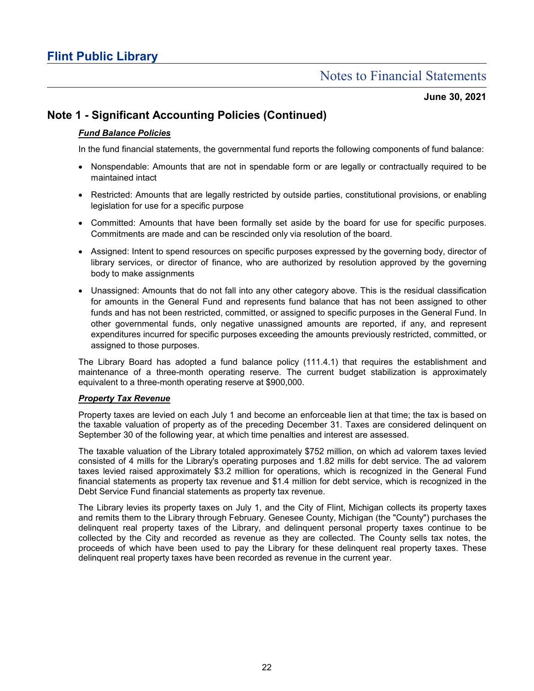**June 30, 2021**

## **Note 1 - Significant Accounting Policies (Continued)**

#### *Fund Balance Policies*

In the fund financial statements, the governmental fund reports the following components of fund balance:

- Nonspendable: Amounts that are not in spendable form or are legally or contractually required to be maintained intact
- Restricted: Amounts that are legally restricted by outside parties, constitutional provisions, or enabling legislation for use for a specific purpose
- Committed: Amounts that have been formally set aside by the board for use for specific purposes. Commitments are made and can be rescinded only via resolution of the board.
- Assigned: Intent to spend resources on specific purposes expressed by the governing body, director of library services, or director of finance, who are authorized by resolution approved by the governing body to make assignments
- Unassigned: Amounts that do not fall into any other category above. This is the residual classification for amounts in the General Fund and represents fund balance that has not been assigned to other funds and has not been restricted, committed, or assigned to specific purposes in the General Fund. In other governmental funds, only negative unassigned amounts are reported, if any, and represent expenditures incurred for specific purposes exceeding the amounts previously restricted, committed, or assigned to those purposes.

The Library Board has adopted a fund balance policy (111.4.1) that requires the establishment and maintenance of a three-month operating reserve. The current budget stabilization is approximately equivalent to a three-month operating reserve at \$900,000.

#### *Property Tax Revenue*

Property taxes are levied on each July 1 and become an enforceable lien at that time; the tax is based on the taxable valuation of property as of the preceding December 31. Taxes are considered delinquent on September 30 of the following year, at which time penalties and interest are assessed.

The taxable valuation of the Library totaled approximately \$752 million, on which ad valorem taxes levied consisted of 4 mills for the Library's operating purposes and 1.82 mills for debt service. The ad valorem taxes levied raised approximately \$3.2 million for operations, which is recognized in the General Fund financial statements as property tax revenue and \$1.4 million for debt service, which is recognized in the Debt Service Fund financial statements as property tax revenue.

The Library levies its property taxes on July 1, and the City of Flint, Michigan collects its property taxes and remits them to the Library through February. Genesee County, Michigan (the "County") purchases the delinquent real property taxes of the Library, and delinquent personal property taxes continue to be collected by the City and recorded as revenue as they are collected. The County sells tax notes, the proceeds of which have been used to pay the Library for these delinquent real property taxes. These delinquent real property taxes have been recorded as revenue in the current year.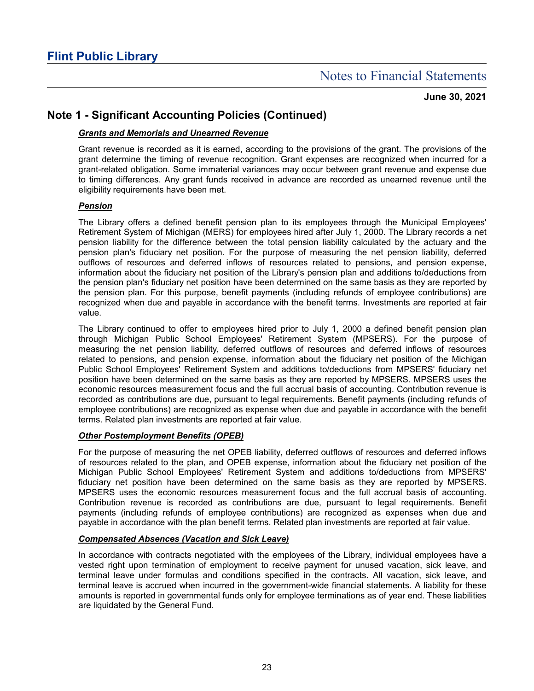**June 30, 2021**

## **Note 1 - Significant Accounting Policies (Continued)**

#### *Grants and Memorials and Unearned Revenue*

Grant revenue is recorded as it is earned, according to the provisions of the grant. The provisions of the grant determine the timing of revenue recognition. Grant expenses are recognized when incurred for a grant-related obligation. Some immaterial variances may occur between grant revenue and expense due to timing differences. Any grant funds received in advance are recorded as unearned revenue until the eligibility requirements have been met.

#### *Pension*

The Library offers a defined benefit pension plan to its employees through the Municipal Employees' Retirement System of Michigan (MERS) for employees hired after July 1, 2000. The Library records a net pension liability for the difference between the total pension liability calculated by the actuary and the pension plan's fiduciary net position. For the purpose of measuring the net pension liability, deferred outflows of resources and deferred inflows of resources related to pensions, and pension expense, information about the fiduciary net position of the Library's pension plan and additions to/deductions from the pension plan's fiduciary net position have been determined on the same basis as they are reported by the pension plan. For this purpose, benefit payments (including refunds of employee contributions) are recognized when due and payable in accordance with the benefit terms. Investments are reported at fair value.

The Library continued to offer to employees hired prior to July 1, 2000 a defined benefit pension plan through Michigan Public School Employees' Retirement System (MPSERS). For the purpose of measuring the net pension liability, deferred outflows of resources and deferred inflows of resources related to pensions, and pension expense, information about the fiduciary net position of the Michigan Public School Employees' Retirement System and additions to/deductions from MPSERS' fiduciary net position have been determined on the same basis as they are reported by MPSERS. MPSERS uses the economic resources measurement focus and the full accrual basis of accounting. Contribution revenue is recorded as contributions are due, pursuant to legal requirements. Benefit payments (including refunds of employee contributions) are recognized as expense when due and payable in accordance with the benefit terms. Related plan investments are reported at fair value.

#### *Other Postemployment Benefits (OPEB)*

For the purpose of measuring the net OPEB liability, deferred outflows of resources and deferred inflows of resources related to the plan, and OPEB expense, information about the fiduciary net position of the Michigan Public School Employees' Retirement System and additions to/deductions from MPSERS' fiduciary net position have been determined on the same basis as they are reported by MPSERS. MPSERS uses the economic resources measurement focus and the full accrual basis of accounting. Contribution revenue is recorded as contributions are due, pursuant to legal requirements. Benefit payments (including refunds of employee contributions) are recognized as expenses when due and payable in accordance with the plan benefit terms. Related plan investments are reported at fair value.

#### *Compensated Absences (Vacation and Sick Leave)*

In accordance with contracts negotiated with the employees of the Library, individual employees have a vested right upon termination of employment to receive payment for unused vacation, sick leave, and terminal leave under formulas and conditions specified in the contracts. All vacation, sick leave, and terminal leave is accrued when incurred in the government-wide financial statements. A liability for these amounts is reported in governmental funds only for employee terminations as of year end. These liabilities are liquidated by the General Fund.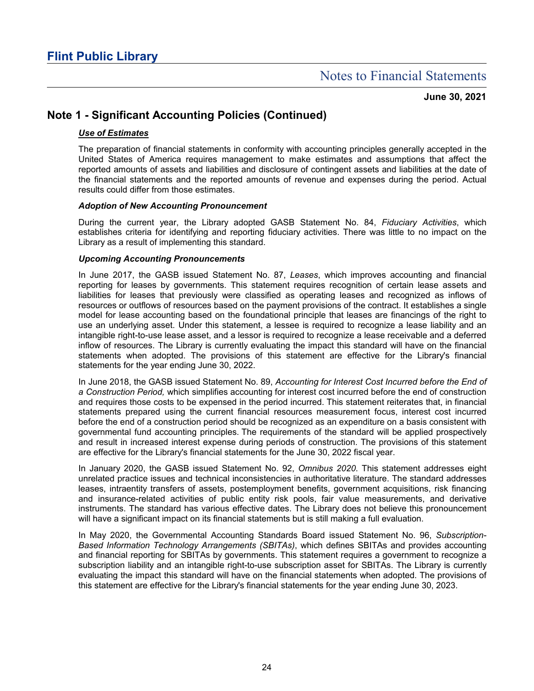**June 30, 2021**

## **Note 1 - Significant Accounting Policies (Continued)**

#### *Use of Estimates*

The preparation of financial statements in conformity with accounting principles generally accepted in the United States of America requires management to make estimates and assumptions that affect the reported amounts of assets and liabilities and disclosure of contingent assets and liabilities at the date of the financial statements and the reported amounts of revenue and expenses during the period. Actual results could differ from those estimates.

#### *Adoption of New Accounting Pronouncement*

During the current year, the Library adopted GASB Statement No. 84, *Fiduciary Activities*, which establishes criteria for identifying and reporting fiduciary activities. There was little to no impact on the Library as a result of implementing this standard.

#### *Upcoming Accounting Pronouncements*

In June 2017, the GASB issued Statement No. 87, *Leases*, which improves accounting and financial reporting for leases by governments. This statement requires recognition of certain lease assets and liabilities for leases that previously were classified as operating leases and recognized as inflows of resources or outflows of resources based on the payment provisions of the contract. It establishes a single model for lease accounting based on the foundational principle that leases are financings of the right to use an underlying asset. Under this statement, a lessee is required to recognize a lease liability and an intangible right-to-use lease asset, and a lessor is required to recognize a lease receivable and a deferred inflow of resources. The Library is currently evaluating the impact this standard will have on the financial statements when adopted. The provisions of this statement are effective for the Library's financial statements for the year ending June 30, 2022.

In June 2018, the GASB issued Statement No. 89, *Accounting for Interest Cost Incurred before the End of a Construction Period,* which simplifies accounting for interest cost incurred before the end of construction and requires those costs to be expensed in the period incurred. This statement reiterates that, in financial statements prepared using the current financial resources measurement focus, interest cost incurred before the end of a construction period should be recognized as an expenditure on a basis consistent with governmental fund accounting principles. The requirements of the standard will be applied prospectively and result in increased interest expense during periods of construction. The provisions of this statement are effective for the Library's financial statements for the June 30, 2022 fiscal year.

In January 2020, the GASB issued Statement No. 92, *Omnibus 2020*. This statement addresses eight unrelated practice issues and technical inconsistencies in authoritative literature. The standard addresses leases, intraentity transfers of assets, postemployment benefits, government acquisitions, risk financing and insurance-related activities of public entity risk pools, fair value measurements, and derivative instruments. The standard has various effective dates. The Library does not believe this pronouncement will have a significant impact on its financial statements but is still making a full evaluation.

In May 2020, the Governmental Accounting Standards Board issued Statement No. 96, *Subscription-Based Information Technology Arrangements (SBITAs)*, which defines SBITAs and provides accounting and financial reporting for SBITAs by governments. This statement requires a government to recognize a subscription liability and an intangible right-to-use subscription asset for SBITAs. The Library is currently evaluating the impact this standard will have on the financial statements when adopted. The provisions of this statement are effective for the Library's financial statements for the year ending June 30, 2023.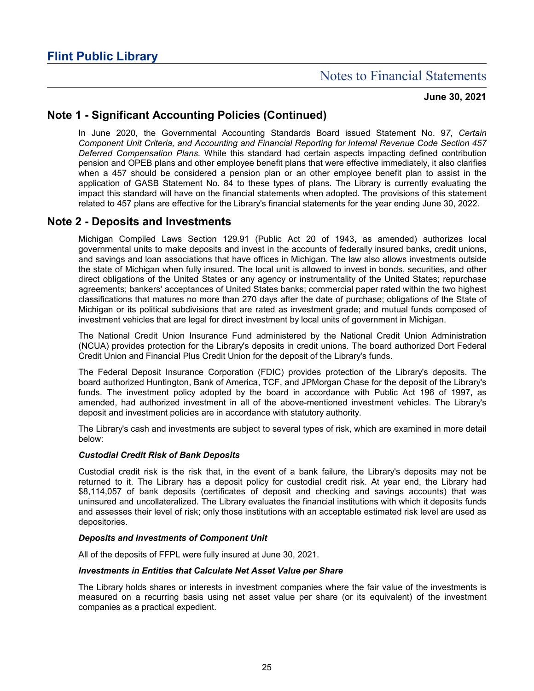#### **June 30, 2021**

### **Note 1 - Significant Accounting Policies (Continued)**

In June 2020, the Governmental Accounting Standards Board issued Statement No. 9*7*, *Certain Component Unit Criteria, and Accounting and Financial Reporting for Internal Revenue Code Section 457 Deferred Compensation Plans.* While this standard had certain aspects impacting defined contribution pension and OPEB plans and other employee benefit plans that were effective immediately, it also clarifies when a 457 should be considered a pension plan or an other employee benefit plan to assist in the application of GASB Statement No. 84 to these types of plans. The Library is currently evaluating the impact this standard will have on the financial statements when adopted. The provisions of this statement related to 457 plans are effective for the Library's financial statements for the year ending June 30, 2022.

#### **Note 2 - Deposits and Investments**

Michigan Compiled Laws Section 129.91 (Public Act 20 of 1943, as amended) authorizes local governmental units to make deposits and invest in the accounts of federally insured banks, credit unions, and savings and loan associations that have offices in Michigan. The law also allows investments outside the state of Michigan when fully insured. The local unit is allowed to invest in bonds, securities, and other direct obligations of the United States or any agency or instrumentality of the United States; repurchase agreements; bankers' acceptances of United States banks; commercial paper rated within the two highest classifications that matures no more than 270 days after the date of purchase; obligations of the State of Michigan or its political subdivisions that are rated as investment grade; and mutual funds composed of investment vehicles that are legal for direct investment by local units of government in Michigan.

The National Credit Union Insurance Fund administered by the National Credit Union Administration (NCUA) provides protection for the Library's deposits in credit unions. The board authorized Dort Federal Credit Union and Financial Plus Credit Union for the deposit of the Library's funds.

The Federal Deposit Insurance Corporation (FDIC) provides protection of the Library's deposits. The board authorized Huntington, Bank of America, TCF, and JPMorgan Chase for the deposit of the Library's funds. The investment policy adopted by the board in accordance with Public Act 196 of 1997, as amended, had authorized investment in all of the above-mentioned investment vehicles. The Library's deposit and investment policies are in accordance with statutory authority.

The Library's cash and investments are subject to several types of risk, which are examined in more detail below:

#### *Custodial Credit Risk of Bank Deposits*

Custodial credit risk is the risk that, in the event of a bank failure, the Library's deposits may not be returned to it. The Library has a deposit policy for custodial credit risk. At year end, the Library had \$8,114,057 of bank deposits (certificates of deposit and checking and savings accounts) that was uninsured and uncollateralized. The Library evaluates the financial institutions with which it deposits funds and assesses their level of risk; only those institutions with an acceptable estimated risk level are used as depositories.

#### *Deposits and Investments of Component Unit*

All of the deposits of FFPL were fully insured at June 30, 2021.

#### *Investments in Entities that Calculate Net Asset Value per Share*

The Library holds shares or interests in investment companies where the fair value of the investments is measured on a recurring basis using net asset value per share (or its equivalent) of the investment companies as a practical expedient.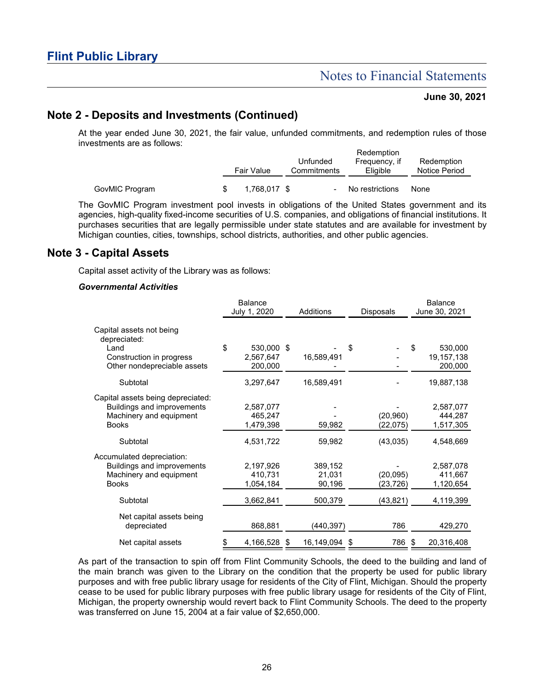#### **June 30, 2021**

### **Note 2 - Deposits and Investments (Continued)**

At the year ended June 30, 2021, the fair value, unfunded commitments, and redemption rules of those investments are as follows:

|                | <b>Fair Value</b> |              | Unfunded<br>Commitments | Redemption<br>Frequency, if<br>Eligible | Redemption<br>Notice Period |
|----------------|-------------------|--------------|-------------------------|-----------------------------------------|-----------------------------|
| GovMIC Program |                   | 1.768.017 \$ |                         | No restrictions                         | None                        |

The GovMIC Program investment pool invests in obligations of the United States government and its agencies, high-quality fixed-income securities of U.S. companies, and obligations of financial institutions. It purchases securities that are legally permissible under state statutes and are available for investment by Michigan counties, cities, townships, school districts, authorities, and other public agencies.

### **Note 3 - Capital Assets**

Capital asset activity of the Library was as follows:

#### *Governmental Activities*

|                                          | Balance<br>July 1, 2020 | Additions     | <b>Disposals</b> | <b>Balance</b><br>June 30, 2021 |
|------------------------------------------|-------------------------|---------------|------------------|---------------------------------|
| Capital assets not being<br>depreciated: |                         |               |                  |                                 |
| Land                                     | \$<br>530,000 \$        |               | \$               | \$<br>530,000                   |
| Construction in progress                 | 2,567,647               | 16,589,491    |                  | 19,157,138                      |
| Other nondepreciable assets              | 200,000                 |               |                  | 200,000                         |
| Subtotal                                 | 3,297,647               | 16,589,491    |                  | 19,887,138                      |
| Capital assets being depreciated:        |                         |               |                  |                                 |
| <b>Buildings and improvements</b>        | 2,587,077               |               |                  | 2,587,077                       |
| Machinery and equipment                  | 465,247                 |               | (20,960)         | 444,287                         |
| <b>Books</b>                             | 1,479,398               | 59,982        | (22,075)         | 1,517,305                       |
| Subtotal                                 | 4,531,722               | 59,982        | (43, 035)        | 4,548,669                       |
| Accumulated depreciation:                |                         |               |                  |                                 |
| <b>Buildings and improvements</b>        | 2,197,926               | 389,152       |                  | 2,587,078                       |
| Machinery and equipment                  | 410,731                 | 21,031        | (20,095)         | 411,667                         |
| <b>Books</b>                             | 1,054,184               | 90,196        | (23, 726)        | 1,120,654                       |
| Subtotal                                 | 3,662,841               | 500,379       | (43,821)         | 4,119,399                       |
| Net capital assets being<br>depreciated  | 868,881                 | (440, 397)    | 786              | 429,270                         |
| Net capital assets                       | \$<br>4,166,528 \$      | 16,149,094 \$ | 786 \$           | 20,316,408                      |
|                                          |                         |               |                  |                                 |

As part of the transaction to spin off from Flint Community Schools, the deed to the building and land of the main branch was given to the Library on the condition that the property be used for public library purposes and with free public library usage for residents of the City of Flint, Michigan. Should the property cease to be used for public library purposes with free public library usage for residents of the City of Flint, Michigan, the property ownership would revert back to Flint Community Schools. The deed to the property was transferred on June 15, 2004 at a fair value of \$2,650,000.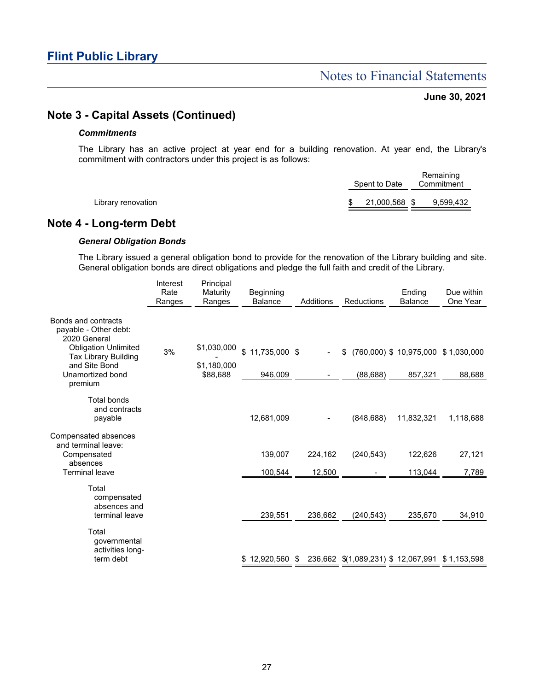### **June 30, 2021**

## **Note 3 - Capital Assets (Continued)**

#### *Commitments*

The Library has an active project at year end for a building renovation. At year end, the Library's commitment with contractors under this project is as follows:

|                    |     | Spent to Date | Remaining<br>Commitment |
|--------------------|-----|---------------|-------------------------|
| Library renovation | \$. | 21,000,568 \$ | 9,599,432               |

### **Note 4 - Long-term Debt**

#### *General Obligation Bonds*

The Library issued a general obligation bond to provide for the renovation of the Library building and site. General obligation bonds are direct obligations and pledge the full faith and credit of the Library.

|                                                                                                                                                                            | Interest<br>Rate<br>Ranges | Principal<br>Maturity<br>Ranges        | Beginning<br><b>Balance</b>    | Additions         | Reductions      | Ending<br><b>Balance</b>                      | Due within<br>One Year |
|----------------------------------------------------------------------------------------------------------------------------------------------------------------------------|----------------------------|----------------------------------------|--------------------------------|-------------------|-----------------|-----------------------------------------------|------------------------|
| Bonds and contracts<br>payable - Other debt:<br>2020 General<br><b>Obligation Unlimited</b><br><b>Tax Library Building</b><br>and Site Bond<br>Unamortized bond<br>premium | 3%                         | \$1,030,000<br>\$1,180,000<br>\$88,688 | 11,735,000 \$<br>\$<br>946,009 |                   | \$<br>(88, 688) | (760,000) \$10,975,000 \$1,030,000<br>857,321 | 88,688                 |
| <b>Total bonds</b><br>and contracts<br>payable                                                                                                                             |                            |                                        | 12,681,009                     |                   | (848, 688)      | 11,832,321                                    | 1,118,688              |
| Compensated absences<br>and terminal leave:<br>Compensated<br>absences<br><b>Terminal leave</b>                                                                            |                            |                                        | 139,007<br>100,544             | 224,162<br>12,500 | (240, 543)      | 122,626<br>113,044                            | 27,121<br>7,789        |
| Total<br>compensated<br>absences and<br>terminal leave                                                                                                                     |                            |                                        | 239,551                        | 236,662           | (240, 543)      | 235,670                                       | 34,910                 |
| Total<br>governmental<br>activities long-<br>term debt                                                                                                                     |                            |                                        | 12,920,560 \$                  |                   |                 | 236,662 \$(1,089,231) \$12,067,991            | \$1,153,598            |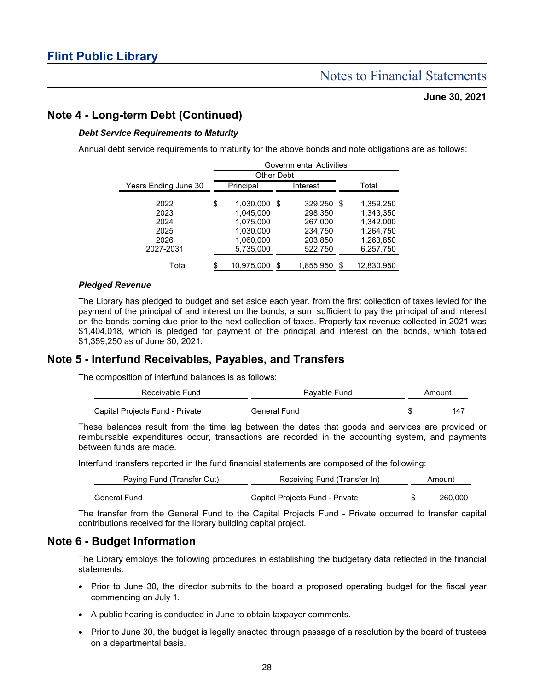#### **June 30, 2021**

### **Note 4 - Long-term Debt (Continued)**

#### *Debt Service Requirements to Maturity*

Annual debt service requirements to maturity for the above bonds and note obligations are as follows:

|                                                   |    | <b>Governmental Activities</b>                                             |    |                                                                |    |                                                                            |  |  |  |
|---------------------------------------------------|----|----------------------------------------------------------------------------|----|----------------------------------------------------------------|----|----------------------------------------------------------------------------|--|--|--|
|                                                   |    | <b>Other Debt</b>                                                          |    |                                                                |    |                                                                            |  |  |  |
| Years Ending June 30                              |    | Principal<br>Interest                                                      |    |                                                                |    | Total                                                                      |  |  |  |
| 2022<br>2023<br>2024<br>2025<br>2026<br>2027-2031 | \$ | 1,030,000<br>1,045,000<br>1,075,000<br>1,030,000<br>1,060,000<br>5,735,000 | \$ | 329,250<br>298,350<br>267,000<br>234,750<br>203,850<br>522,750 | \$ | 1,359,250<br>1,343,350<br>1,342,000<br>1,264,750<br>1,263,850<br>6,257,750 |  |  |  |
| Total                                             | S. | 10,975,000                                                                 | \$ | 1,855,950                                                      | S  | 12,830,950                                                                 |  |  |  |

#### *Pledged Revenue*

The Library has pledged to budget and set aside each year, from the first collection of taxes levied for the payment of the principal of and interest on the bonds, a sum sufficient to pay the principal of and interest on the bonds coming due prior to the next collection of taxes. Property tax revenue collected in 2021 was \$1,404,018, which is pledged for payment of the principal and interest on the bonds, which totaled \$1,359,250 as of June 30, 2021.

#### **Note 5 - Interfund Receivables, Payables, and Transfers**

The composition of interfund balances is as follows:

| Receivable Fund<br>Pavable Fund |              | Amount |    |  |
|---------------------------------|--------------|--------|----|--|
| Capital Projects Fund - Private | General Fund |        | 14 |  |

These balances result from the time lag between the dates that goods and services are provided or reimbursable expenditures occur, transactions are recorded in the accounting system, and payments between funds are made.

Interfund transfers reported in the fund financial statements are composed of the following:

| Paying Fund (Transfer Out) | Receiving Fund (Transfer In)    |  | Amount  |
|----------------------------|---------------------------------|--|---------|
| General Fund               | Capital Projects Fund - Private |  | 260,000 |

The transfer from the General Fund to the Capital Projects Fund - Private occurred to transfer capital contributions received for the library building capital project.

### **Note 6 - Budget Information**

The Library employs the following procedures in establishing the budgetary data reflected in the financial statements:

- Prior to June 30, the director submits to the board a proposed operating budget for the fiscal year commencing on July 1.
- A public hearing is conducted in June to obtain taxpayer comments.
- Prior to June 30, the budget is legally enacted through passage of a resolution by the board of trustees on a departmental basis.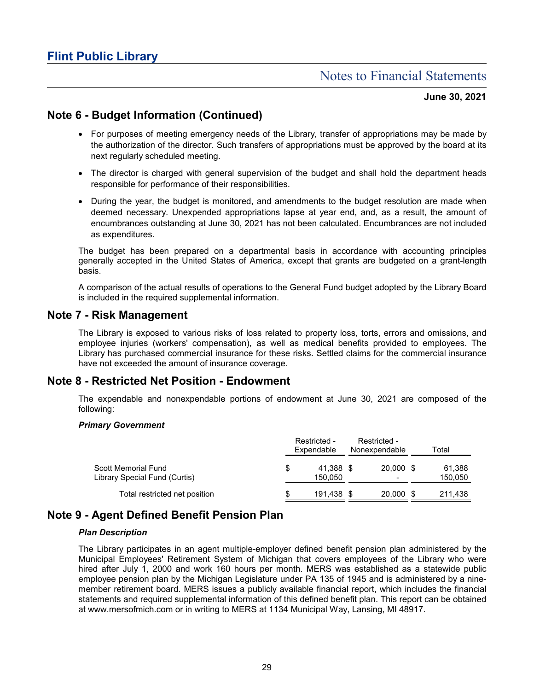#### **June 30, 2021**

### **Note 6 - Budget Information (Continued)**

- For purposes of meeting emergency needs of the Library, transfer of appropriations may be made by the authorization of the director. Such transfers of appropriations must be approved by the board at its next regularly scheduled meeting.
- The director is charged with general supervision of the budget and shall hold the department heads responsible for performance of their responsibilities.
- During the year, the budget is monitored, and amendments to the budget resolution are made when deemed necessary. Unexpended appropriations lapse at year end, and, as a result, the amount of encumbrances outstanding at June 30, 2021 has not been calculated. Encumbrances are not included as expenditures.

The budget has been prepared on a departmental basis in accordance with accounting principles generally accepted in the United States of America, except that grants are budgeted on a grant-length basis.

A comparison of the actual results of operations to the General Fund budget adopted by the Library Board is included in the required supplemental information.

### **Note 7 - Risk Management**

The Library is exposed to various risks of loss related to property loss, torts, errors and omissions, and employee injuries (workers' compensation), as well as medical benefits provided to employees. The Library has purchased commercial insurance for these risks. Settled claims for the commercial insurance have not exceeded the amount of insurance coverage.

### **Note 8 - Restricted Net Position - Endowment**

The expendable and nonexpendable portions of endowment at June 30, 2021 are composed of the following:

#### *Primary Government*

|                                                      |   | Restricted -<br>Expendable | Restricted -<br>Nonexpendable |                | Total |                   |
|------------------------------------------------------|---|----------------------------|-------------------------------|----------------|-------|-------------------|
| Scott Memorial Fund<br>Library Special Fund (Curtis) | S | 41.388 \$<br>150.050       |                               | 20.000 \$<br>- |       | 61,388<br>150,050 |
| Total restricted net position                        |   | 191,438 \$                 |                               | 20,000         |       | 211,438           |

## **Note 9 - Agent Defined Benefit Pension Plan**

#### *Plan Description*

The Library participates in an agent multiple-employer defined benefit pension plan administered by the Municipal Employees' Retirement System of Michigan that covers employees of the Library who were hired after July 1, 2000 and work 160 hours per month. MERS was established as a statewide public employee pension plan by the Michigan Legislature under PA 135 of 1945 and is administered by a ninemember retirement board. MERS issues a publicly available financial report, which includes the financial statements and required supplemental information of this defined benefit plan. This report can be obtained at www.mersofmich.com or in writing to MERS at 1134 Municipal Way, Lansing, MI 48917.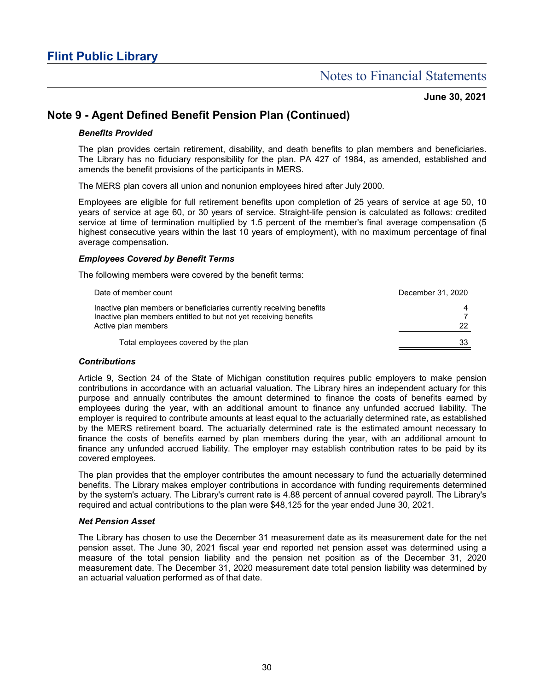#### **June 30, 2021**

## **Note 9 - Agent Defined Benefit Pension Plan (Continued)**

#### *Benefits Provided*

The plan provides certain retirement, disability, and death benefits to plan members and beneficiaries. The Library has no fiduciary responsibility for the plan. PA 427 of 1984, as amended, established and amends the benefit provisions of the participants in MERS.

The MERS plan covers all union and nonunion employees hired after July 2000.

Employees are eligible for full retirement benefits upon completion of 25 years of service at age 50, 10 years of service at age 60, or 30 years of service. Straight-life pension is calculated as follows: credited service at time of termination multiplied by 1.5 percent of the member's final average compensation (5 highest consecutive years within the last 10 years of employment), with no maximum percentage of final average compensation.

#### *Employees Covered by Benefit Terms*

The following members were covered by the benefit terms:

| Date of member count                                                                    | December 31, 2020 |
|-----------------------------------------------------------------------------------------|-------------------|
| Inactive plan members or beneficiaries currently receiving benefits                     |                   |
| Inactive plan members entitled to but not yet receiving benefits<br>Active plan members | つつ                |
| Total employees covered by the plan                                                     |                   |

#### *Contributions*

Article 9, Section 24 of the State of Michigan constitution requires public employers to make pension contributions in accordance with an actuarial valuation. The Library hires an independent actuary for this purpose and annually contributes the amount determined to finance the costs of benefits earned by employees during the year, with an additional amount to finance any unfunded accrued liability. The employer is required to contribute amounts at least equal to the actuarially determined rate, as established by the MERS retirement board. The actuarially determined rate is the estimated amount necessary to finance the costs of benefits earned by plan members during the year, with an additional amount to finance any unfunded accrued liability. The employer may establish contribution rates to be paid by its covered employees.

The plan provides that the employer contributes the amount necessary to fund the actuarially determined benefits. The Library makes employer contributions in accordance with funding requirements determined by the system's actuary. The Library's current rate is 4.88 percent of annual covered payroll. The Library's required and actual contributions to the plan were \$48,125 for the year ended June 30, 2021.

#### *Net Pension Asset*

The Library has chosen to use the December 31 measurement date as its measurement date for the net pension asset. The June 30, 2021 fiscal year end reported net pension asset was determined using a measure of the total pension liability and the pension net position as of the December 31, 2020 measurement date. The December 31, 2020 measurement date total pension liability was determined by an actuarial valuation performed as of that date.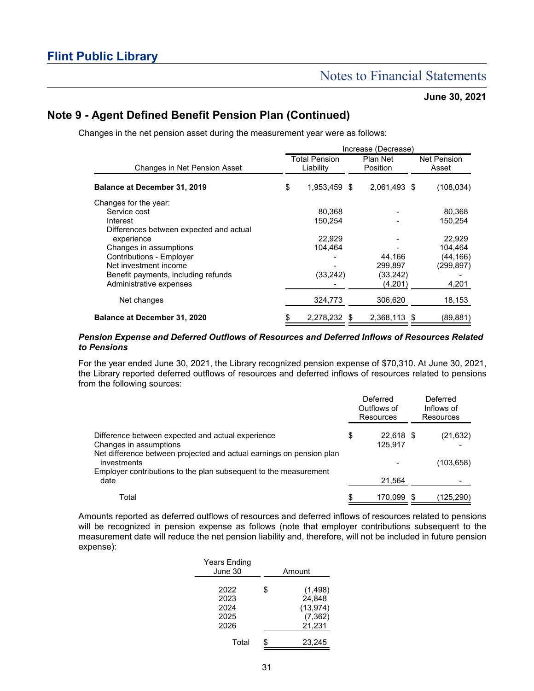#### **June 30, 2021**

# **Note 9 - Agent Defined Benefit Pension Plan (Continued)**

Changes in the net pension asset during the measurement year were as follows:

|                                         | Increase (Decrease)        |              |  |                      |   |                      |  |  |  |
|-----------------------------------------|----------------------------|--------------|--|----------------------|---|----------------------|--|--|--|
| <b>Changes in Net Pension Asset</b>     | Total Pension<br>Liability |              |  | Plan Net<br>Position |   | Net Pension<br>Asset |  |  |  |
| <b>Balance at December 31, 2019</b>     | \$                         | 1,953,459 \$ |  | 2,061,493 \$         |   | (108, 034)           |  |  |  |
| Changes for the year:                   |                            |              |  |                      |   |                      |  |  |  |
| Service cost                            |                            | 80,368       |  |                      |   | 80,368               |  |  |  |
| Interest                                |                            | 150,254      |  |                      |   | 150,254              |  |  |  |
| Differences between expected and actual |                            |              |  |                      |   |                      |  |  |  |
| experience                              |                            | 22.929       |  |                      |   | 22.929               |  |  |  |
| Changes in assumptions                  |                            | 104.464      |  |                      |   | 104.464              |  |  |  |
| <b>Contributions - Employer</b>         |                            |              |  | 44,166               |   | (44, 166)            |  |  |  |
| Net investment income                   |                            |              |  | 299,897              |   | (299, 897)           |  |  |  |
| Benefit payments, including refunds     |                            | (33,242)     |  | (33,242)             |   |                      |  |  |  |
| Administrative expenses                 |                            |              |  | (4,201)              |   | 4,201                |  |  |  |
| Net changes                             |                            | 324,773      |  | 306,620              |   | 18,153               |  |  |  |
| <b>Balance at December 31, 2020</b>     |                            | 2,278,232 \$ |  | 2,368,113            | S | (89,881)             |  |  |  |

#### *Pension Expense and Deferred Outflows of Resources and Deferred Inflows of Resources Related to Pensions*

For the year ended June 30, 2021, the Library recognized pension expense of \$70,310. At June 30, 2021, the Library reported deferred outflows of resources and deferred inflows of resources related to pensions from the following sources:

|                                                                      | Deferred<br>Outflows of<br><b>Resources</b> | Deferred<br>Inflows of<br>Resources |
|----------------------------------------------------------------------|---------------------------------------------|-------------------------------------|
| Difference between expected and actual experience                    | \$<br>22,618 \$                             | (21,632)                            |
| Changes in assumptions                                               | 125.917                                     |                                     |
| Net difference between projected and actual earnings on pension plan |                                             |                                     |
| investments                                                          |                                             | (103,658)                           |
| Employer contributions to the plan subsequent to the measurement     |                                             |                                     |
| date                                                                 | 21.564                                      |                                     |
| Total                                                                | \$<br>170.099 \$                            | (125,290)                           |

Amounts reported as deferred outflows of resources and deferred inflows of resources related to pensions will be recognized in pension expense as follows (note that employer contributions subsequent to the measurement date will reduce the net pension liability and, therefore, will not be included in future pension expense):

| <b>Years Ending</b><br>June 30       | Amount                                                      |
|--------------------------------------|-------------------------------------------------------------|
| 2022<br>2023<br>2024<br>2025<br>2026 | \$<br>(1, 498)<br>24,848<br>(13, 974)<br>(7, 362)<br>21,231 |
| Total                                | 23,245                                                      |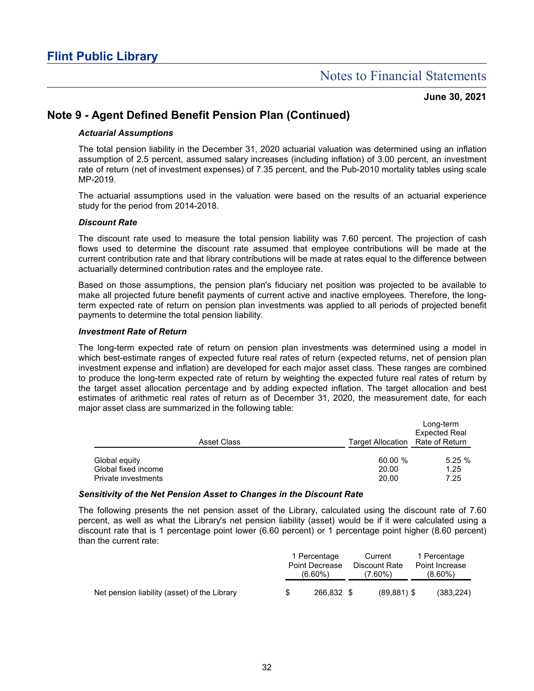#### **June 30, 2021**

## **Note 9 - Agent Defined Benefit Pension Plan (Continued)**

#### *Actuarial Assumptions*

The total pension liability in the December 31, 2020 actuarial valuation was determined using an inflation assumption of 2.5 percent, assumed salary increases (including inflation) of 3.00 percent, an investment rate of return (net of investment expenses) of 7.35 percent, and the Pub-2010 mortality tables using scale MP-2019.

The actuarial assumptions used in the valuation were based on the results of an actuarial experience study for the period from 2014-2018.

#### *Discount Rate*

The discount rate used to measure the total pension liability was 7.60 percent. The projection of cash flows used to determine the discount rate assumed that employee contributions will be made at the current contribution rate and that library contributions will be made at rates equal to the difference between actuarially determined contribution rates and the employee rate.

Based on those assumptions, the pension plan's fiduciary net position was projected to be available to make all projected future benefit payments of current active and inactive employees. Therefore, the longterm expected rate of return on pension plan investments was applied to all periods of projected benefit payments to determine the total pension liability.

#### *Investment Rate of Return*

The long-term expected rate of return on pension plan investments was determined using a model in which best-estimate ranges of expected future real rates of return (expected returns, net of pension plan investment expense and inflation) are developed for each major asset class. These ranges are combined to produce the long-term expected rate of return by weighting the expected future real rates of return by the target asset allocation percentage and by adding expected inflation. The target allocation and best estimates of arithmetic real rates of return as of December 31, 2020, the measurement date, for each major asset class are summarized in the following table:

|                                      | Asset Class | Target Allocation Rate of Return | Long-term<br><b>Expected Real</b> |
|--------------------------------------|-------------|----------------------------------|-----------------------------------|
| Global equity<br>Global fixed income |             | 60.00 %<br>20.00                 | 5.25%<br>1.25                     |
| Private investments                  |             | 20.00                            | 7.25                              |

#### *Sensitivity of the Net Pension Asset to Changes in the Discount Rate*

The following presents the net pension asset of the Library, calculated using the discount rate of 7.60 percent, as well as what the Library's net pension liability (asset) would be if it were calculated using a discount rate that is 1 percentage point lower (6.60 percent) or 1 percentage point higher (8.60 percent) than the current rate:

|                                              | 1 Percentage          |            | Current       |                |  | 1 Percentage   |  |
|----------------------------------------------|-----------------------|------------|---------------|----------------|--|----------------|--|
|                                              | <b>Point Decrease</b> |            | Discount Rate |                |  | Point Increase |  |
|                                              | $(6.60\%)$            |            | (7.60%)       |                |  | $(8.60\%)$     |  |
| Net pension liability (asset) of the Library | \$                    | 266.832 \$ |               | $(89, 881)$ \$ |  | (383, 224)     |  |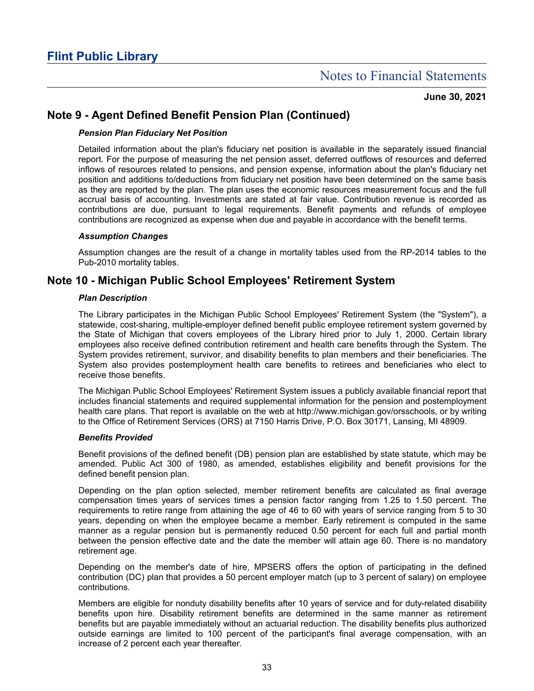#### **June 30, 2021**

### **Note 9 - Agent Defined Benefit Pension Plan (Continued)**

#### *Pension Plan Fiduciary Net Position*

Detailed information about the plan's fiduciary net position is available in the separately issued financial report. For the purpose of measuring the net pension asset, deferred outflows of resources and deferred inflows of resources related to pensions, and pension expense, information about the plan's fiduciary net position and additions to/deductions from fiduciary net position have been determined on the same basis as they are reported by the plan. The plan uses the economic resources measurement focus and the full accrual basis of accounting. Investments are stated at fair value. Contribution revenue is recorded as contributions are due, pursuant to legal requirements. Benefit payments and refunds of employee contributions are recognized as expense when due and payable in accordance with the benefit terms.

#### *Assumption Changes*

Assumption changes are the result of a change in mortality tables used from the RP-2014 tables to the Pub-2010 mortality tables.

### **Note 10 - Michigan Public School Employees' Retirement System**

#### *Plan Description*

The Library participates in the Michigan Public School Employees' Retirement System (the "System"), a statewide, cost-sharing, multiple-employer defined benefit public employee retirement system governed by the State of Michigan that covers employees of the Library hired prior to July 1, 2000. Certain library employees also receive defined contribution retirement and health care benefits through the System. The System provides retirement, survivor, and disability benefits to plan members and their beneficiaries. The System also provides postemployment health care benefits to retirees and beneficiaries who elect to receive those benefits.

The Michigan Public School Employees' Retirement System issues a publicly available financial report that includes financial statements and required supplemental information for the pension and postemployment health care plans. That report is available on the web at http://www.michigan.gov/orsschools, or by writing to the Office of Retirement Services (ORS) at 7150 Harris Drive, P.O. Box 30171, Lansing, MI 48909.

#### *Benefits Provided*

Benefit provisions of the defined benefit (DB) pension plan are established by state statute, which may be amended. Public Act 300 of 1980, as amended, establishes eligibility and benefit provisions for the defined benefit pension plan.

Depending on the plan option selected, member retirement benefits are calculated as final average compensation times years of services times a pension factor ranging from 1.25 to 1.50 percent. The requirements to retire range from attaining the age of 46 to 60 with years of service ranging from 5 to 30 years, depending on when the employee became a member. Early retirement is computed in the same manner as a regular pension but is permanently reduced 0.50 percent for each full and partial month between the pension effective date and the date the member will attain age 60. There is no mandatory retirement age.

Depending on the member's date of hire, MPSERS offers the option of participating in the defined contribution (DC) plan that provides a 50 percent employer match (up to 3 percent of salary) on employee contributions.

Members are eligible for nonduty disability benefits after 10 years of service and for duty-related disability benefits upon hire. Disability retirement benefits are determined in the same manner as retirement benefits but are payable immediately without an actuarial reduction. The disability benefits plus authorized outside earnings are limited to 100 percent of the participant's final average compensation, with an increase of 2 percent each year thereafter.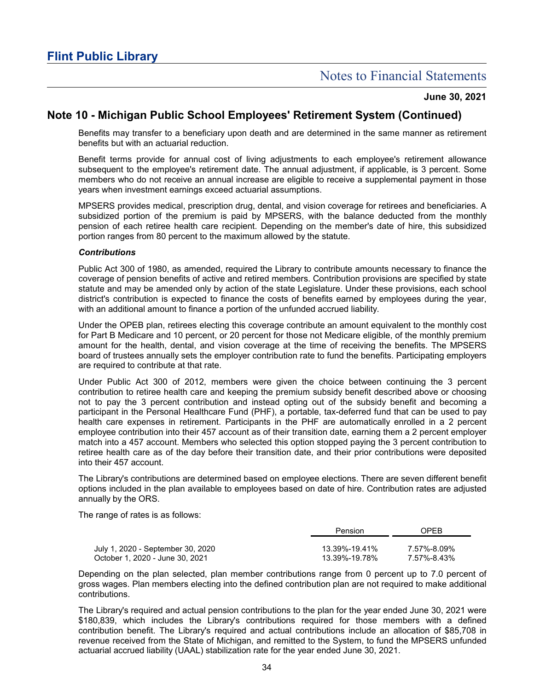#### **June 30, 2021**

## **Note 10 - Michigan Public School Employees' Retirement System (Continued)**

Benefits may transfer to a beneficiary upon death and are determined in the same manner as retirement benefits but with an actuarial reduction.

Benefit terms provide for annual cost of living adjustments to each employee's retirement allowance subsequent to the employee's retirement date. The annual adjustment, if applicable, is 3 percent. Some members who do not receive an annual increase are eligible to receive a supplemental payment in those years when investment earnings exceed actuarial assumptions.

MPSERS provides medical, prescription drug, dental, and vision coverage for retirees and beneficiaries. A subsidized portion of the premium is paid by MPSERS, with the balance deducted from the monthly pension of each retiree health care recipient. Depending on the member's date of hire, this subsidized portion ranges from 80 percent to the maximum allowed by the statute.

#### *Contributions*

Public Act 300 of 1980, as amended, required the Library to contribute amounts necessary to finance the coverage of pension benefits of active and retired members. Contribution provisions are specified by state statute and may be amended only by action of the state Legislature. Under these provisions, each school district's contribution is expected to finance the costs of benefits earned by employees during the year, with an additional amount to finance a portion of the unfunded accrued liability.

Under the OPEB plan, retirees electing this coverage contribute an amount equivalent to the monthly cost for Part B Medicare and 10 percent, or 20 percent for those not Medicare eligible, of the monthly premium amount for the health, dental, and vision coverage at the time of receiving the benefits. The MPSERS board of trustees annually sets the employer contribution rate to fund the benefits. Participating employers are required to contribute at that rate.

Under Public Act 300 of 2012, members were given the choice between continuing the 3 percent contribution to retiree health care and keeping the premium subsidy benefit described above or choosing not to pay the 3 percent contribution and instead opting out of the subsidy benefit and becoming a participant in the Personal Healthcare Fund (PHF), a portable, tax-deferred fund that can be used to pay health care expenses in retirement. Participants in the PHF are automatically enrolled in a 2 percent employee contribution into their 457 account as of their transition date, earning them a 2 percent employer match into a 457 account. Members who selected this option stopped paying the 3 percent contribution to retiree health care as of the day before their transition date, and their prior contributions were deposited into their 457 account.

The Library's contributions are determined based on employee elections. There are seven different benefit options included in the plan available to employees based on date of hire. Contribution rates are adjusted annually by the ORS.

The range of rates is as follows:

|                                   | Pension       | <b>OPEB</b> |
|-----------------------------------|---------------|-------------|
| July 1, 2020 - September 30, 2020 | 13.39%-19.41% | 7.57%-8.09% |
| October 1, 2020 - June 30, 2021   | 13.39%-19.78% | 7.57%-8.43% |

Depending on the plan selected, plan member contributions range from 0 percent up to 7.0 percent of gross wages. Plan members electing into the defined contribution plan are not required to make additional contributions.

The Library's required and actual pension contributions to the plan for the year ended June 30, 2021 were \$180,839, which includes the Library's contributions required for those members with a defined contribution benefit. The Library's required and actual contributions include an allocation of \$85,708 in revenue received from the State of Michigan, and remitted to the System, to fund the MPSERS unfunded actuarial accrued liability (UAAL) stabilization rate for the year ended June 30, 2021.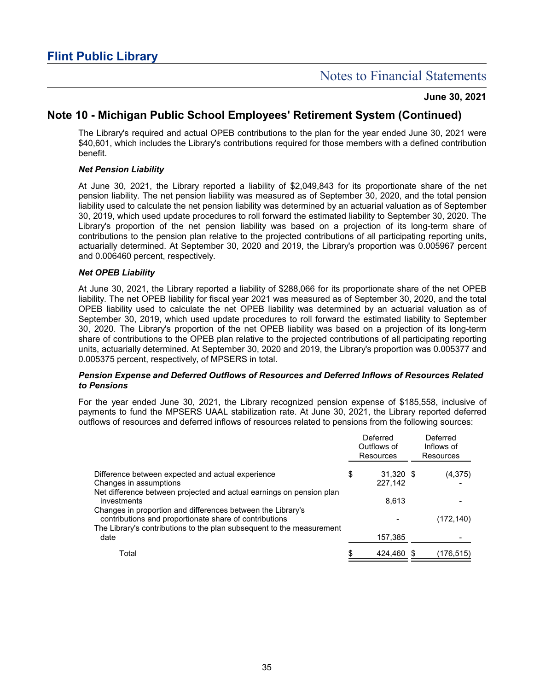#### **June 30, 2021**

## **Note 10 - Michigan Public School Employees' Retirement System (Continued)**

The Library's required and actual OPEB contributions to the plan for the year ended June 30, 2021 were \$40,601, which includes the Library's contributions required for those members with a defined contribution benefit.

#### *Net Pension Liability*

At June 30, 2021, the Library reported a liability of \$2,049,843 for its proportionate share of the net pension liability. The net pension liability was measured as of September 30, 2020, and the total pension liability used to calculate the net pension liability was determined by an actuarial valuation as of September 30, 2019, which used update procedures to roll forward the estimated liability to September 30, 2020. The Library's proportion of the net pension liability was based on a projection of its long-term share of contributions to the pension plan relative to the projected contributions of all participating reporting units, actuarially determined. At September 30, 2020 and 2019, the Library's proportion was 0.005967 percent and 0.006460 percent, respectively.

#### *Net OPEB Liability*

At June 30, 2021, the Library reported a liability of \$288,066 for its proportionate share of the net OPEB liability. The net OPEB liability for fiscal year 2021 was measured as of September 30, 2020, and the total OPEB liability used to calculate the net OPEB liability was determined by an actuarial valuation as of September 30, 2019, which used update procedures to roll forward the estimated liability to September 30, 2020. The Library's proportion of the net OPEB liability was based on a projection of its long-term share of contributions to the OPEB plan relative to the projected contributions of all participating reporting units, actuarially determined. At September 30, 2020 and 2019, the Library's proportion was 0.005377 and 0.005375 percent, respectively, of MPSERS in total.

#### *Pension Expense and Deferred Outflows of Resources and Deferred Inflows of Resources Related to Pensions*

For the year ended June 30, 2021, the Library recognized pension expense of \$185,558, inclusive of payments to fund the MPSERS UAAL stabilization rate. At June 30, 2021, the Library reported deferred outflows of resources and deferred inflows of resources related to pensions from the following sources:

|                                                                                                                                                                                                | Deferred<br>Outflows of<br>Resources | Deferred<br>Inflows of<br>Resources |
|------------------------------------------------------------------------------------------------------------------------------------------------------------------------------------------------|--------------------------------------|-------------------------------------|
| Difference between expected and actual experience                                                                                                                                              | \$<br>$31,320$ \$                    | (4,375)                             |
| Changes in assumptions                                                                                                                                                                         | 227,142                              |                                     |
| Net difference between projected and actual earnings on pension plan<br>investments                                                                                                            | 8,613                                |                                     |
| Changes in proportion and differences between the Library's<br>contributions and proportionate share of contributions<br>The Library's contributions to the plan subsequent to the measurement |                                      | (172, 140)                          |
| date                                                                                                                                                                                           | 157,385                              |                                     |
| Total                                                                                                                                                                                          | 424.460                              | (176.515)                           |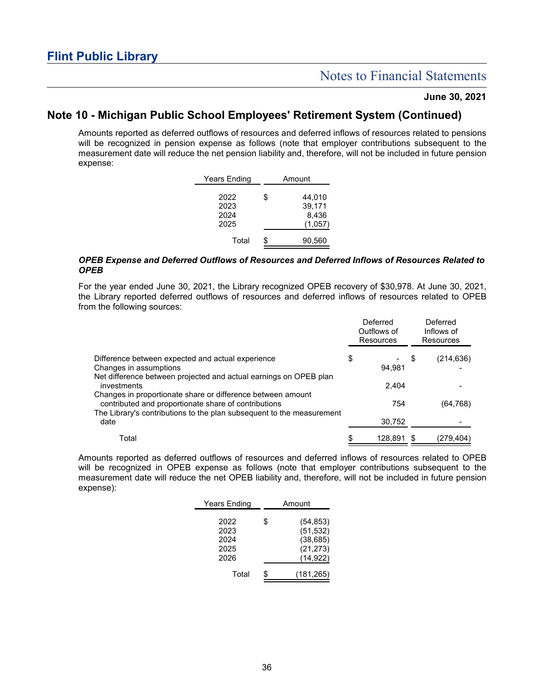#### **June 30, 2021**

## **Note 10 - Michigan Public School Employees' Retirement System (Continued)**

Amounts reported as deferred outflows of resources and deferred inflows of resources related to pensions will be recognized in pension expense as follows (note that employer contributions subsequent to the measurement date will reduce the net pension liability and, therefore, will not be included in future pension expense:

| Years Ending                 | Amount                                     |  |  |  |  |
|------------------------------|--------------------------------------------|--|--|--|--|
| 2022<br>2023<br>2024<br>2025 | \$<br>44,010<br>39,171<br>8,436<br>(1,057) |  |  |  |  |
| Total                        | 90,560                                     |  |  |  |  |

#### *OPEB Expense and Deferred Outflows of Resources and Deferred Inflows of Resources Related to OPEB*

For the year ended June 30, 2021, the Library recognized OPEB recovery of \$30,978. At June 30, 2021, the Library reported deferred outflows of resources and deferred inflows of resources related to OPEB from the following sources:

|                                                                                                                                                                                              | Deferred<br>Outflows of<br>Resources |      | Deferred<br>Inflows of<br>Resources |
|----------------------------------------------------------------------------------------------------------------------------------------------------------------------------------------------|--------------------------------------|------|-------------------------------------|
| Difference between expected and actual experience<br>Changes in assumptions                                                                                                                  | \$<br>94.981                         | - \$ | (214, 636)                          |
| Net difference between projected and actual earnings on OPEB plan<br>investments                                                                                                             | 2.404                                |      |                                     |
| Changes in proportionate share or difference between amount<br>contributed and proportionate share of contributions<br>The Library's contributions to the plan subsequent to the measurement | 754                                  |      | (64,768)                            |
| date                                                                                                                                                                                         | 30,752                               |      |                                     |
| Total                                                                                                                                                                                        | 128,891                              |      | (279,404)                           |

Amounts reported as deferred outflows of resources and deferred inflows of resources related to OPEB will be recognized in OPEB expense as follows (note that employer contributions subsequent to the measurement date will reduce the net OPEB liability and, therefore, will not be included in future pension expense):

| Years Ending                         | Amount |                                                               |  |  |  |
|--------------------------------------|--------|---------------------------------------------------------------|--|--|--|
| 2022<br>2023<br>2024<br>2025<br>2026 | \$     | (54, 853)<br>(51, 532)<br>(38, 685)<br>(21, 273)<br>(14, 922) |  |  |  |
| Total                                |        | (181, 265)                                                    |  |  |  |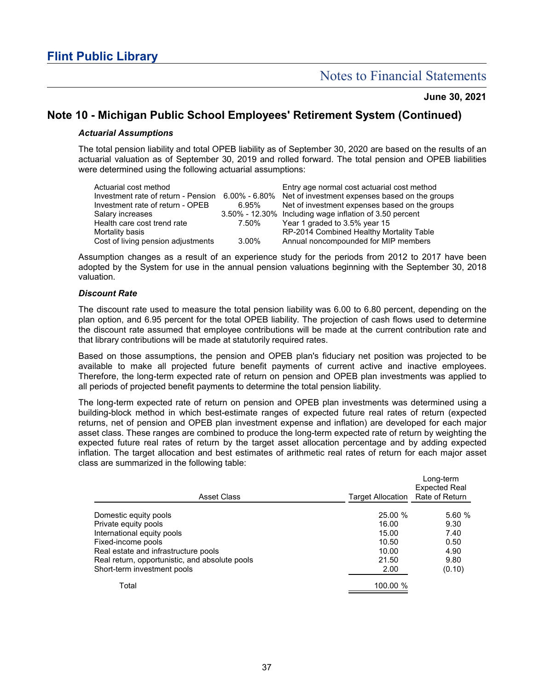#### **June 30, 2021**

### **Note 10 - Michigan Public School Employees' Retirement System (Continued)**

#### *Actuarial Assumptions*

The total pension liability and total OPEB liability as of September 30, 2020 are based on the results of an actuarial valuation as of September 30, 2019 and rolled forward. The total pension and OPEB liabilities were determined using the following actuarial assumptions:

| Actuarial cost method              |       | Entry age normal cost actuarial cost method                                                      |
|------------------------------------|-------|--------------------------------------------------------------------------------------------------|
|                                    |       | Investment rate of return - Pension 6.00% - 6.80% Net of investment expenses based on the groups |
| Investment rate of return - OPEB   | 6.95% | Net of investment expenses based on the groups                                                   |
| Salary increases                   |       | 3.50% - 12.30% Including wage inflation of 3.50 percent                                          |
| Health care cost trend rate        | 7.50% | Year 1 graded to 3.5% year 15                                                                    |
| Mortality basis                    |       | RP-2014 Combined Healthy Mortality Table                                                         |
| Cost of living pension adjustments | 3.00% | Annual noncompounded for MIP members                                                             |

Assumption changes as a result of an experience study for the periods from 2012 to 2017 have been adopted by the System for use in the annual pension valuations beginning with the September 30, 2018 valuation.

#### *Discount Rate*

The discount rate used to measure the total pension liability was 6.00 to 6.80 percent, depending on the plan option, and 6.95 percent for the total OPEB liability. The projection of cash flows used to determine the discount rate assumed that employee contributions will be made at the current contribution rate and that library contributions will be made at statutorily required rates.

Based on those assumptions, the pension and OPEB plan's fiduciary net position was projected to be available to make all projected future benefit payments of current active and inactive employees. Therefore, the long-term expected rate of return on pension and OPEB plan investments was applied to all periods of projected benefit payments to determine the total pension liability.

The long-term expected rate of return on pension and OPEB plan investments was determined using a building-block method in which best-estimate ranges of expected future real rates of return (expected returns, net of pension and OPEB plan investment expense and inflation) are developed for each major asset class. These ranges are combined to produce the long-term expected rate of return by weighting the expected future real rates of return by the target asset allocation percentage and by adding expected inflation. The target allocation and best estimates of arithmetic real rates of return for each major asset class are summarized in the following table:

| <b>Asset Class</b>                             | Target Allocation Rate of Return | Long-term<br><b>Expected Real</b> |
|------------------------------------------------|----------------------------------|-----------------------------------|
|                                                |                                  |                                   |
| Domestic equity pools                          | 25.00 %                          | 5.60 %                            |
| Private equity pools                           | 16.00                            | 9.30                              |
| International equity pools                     | 15.00                            | 7.40                              |
| Fixed-income pools                             | 10.50                            | 0.50                              |
| Real estate and infrastructure pools           | 10.00                            | 4.90                              |
| Real return, opportunistic, and absolute pools | 21.50                            | 9.80                              |
| Short-term investment pools                    | 2.00                             | (0.10)                            |
| Total                                          | 100.00 %                         |                                   |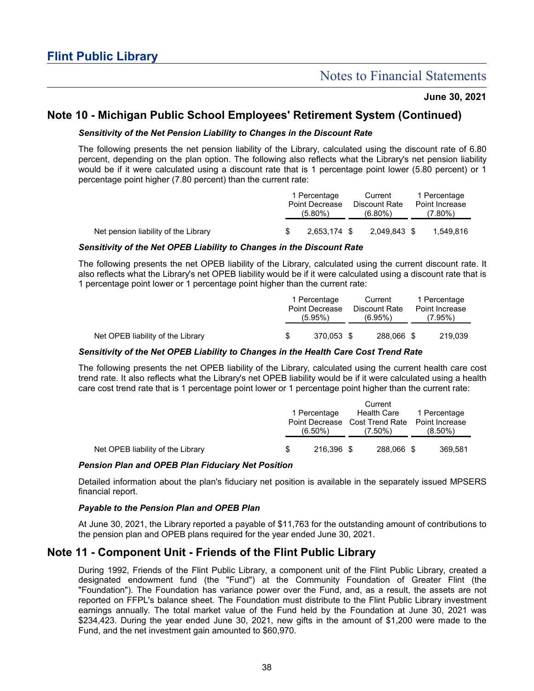#### **June 30, 2021**

### **Note 10 - Michigan Public School Employees' Retirement System (Continued)**

#### *Sensitivity of the Net Pension Liability to Changes in the Discount Rate*

The following presents the net pension liability of the Library, calculated using the discount rate of 6.80 percent, depending on the plan option. The following also reflects what the Library's net pension liability would be if it were calculated using a discount rate that is 1 percentage point lower (5.80 percent) or 1 percentage point higher (7.80 percent) than the current rate:

|                                      | 1 Percentage          |              | Current    |               | 1 Percentage   |
|--------------------------------------|-----------------------|--------------|------------|---------------|----------------|
|                                      | <b>Point Decrease</b> |              |            | Discount Rate | Point Increase |
|                                      | $(5.80\%)$            |              | $(6.80\%)$ |               | (7.80%)        |
| Net pension liability of the Library |                       | 2.653.174 \$ |            | 2.049.843 \$  | 1.549.816      |

#### *Sensitivity of the Net OPEB Liability to Changes in the Discount Rate*

The following presents the net OPEB liability of the Library, calculated using the current discount rate. It also reflects what the Library's net OPEB liability would be if it were calculated using a discount rate that is 1 percentage point lower or 1 percentage point higher than the current rate:

|                                   | 1 Percentage          | Current       | 1 Percentage   |
|-----------------------------------|-----------------------|---------------|----------------|
|                                   | <b>Point Decrease</b> | Discount Rate | Point Increase |
|                                   | $(5.95\%)$            | $(6.95\%)$    | (7.95%)        |
|                                   |                       |               |                |
| Net OPEB liability of the Library | 370.053 \$            | 288.066 \$    | 219.039        |

#### *Sensitivity of the Net OPEB Liability to Changes in the Health Care Cost Trend Rate*

The following presents the net OPEB liability of the Library, calculated using the current health care cost trend rate. It also reflects what the Library's net OPEB liability would be if it were calculated using a health care cost trend rate that is 1 percentage point lower or 1 percentage point higher than the current rate:

|                                   |              | Current                                       |  |            |
|-----------------------------------|--------------|-----------------------------------------------|--|------------|
|                                   | 1 Percentage | 1 Percentage                                  |  |            |
|                                   |              | Point Decrease Cost Trend Rate Point Increase |  |            |
|                                   | $(6.50\%)$   | $(7.50\%)$                                    |  | $(8.50\%)$ |
| Net OPEB liability of the Library | 216.396 \$   | 288,066 \$                                    |  | 369.581    |

#### *Pension Plan and OPEB Plan Fiduciary Net Position*

Detailed information about the plan's fiduciary net position is available in the separately issued MPSERS financial report.

#### *Payable to the Pension Plan and OPEB Plan*

At June 30, 2021, the Library reported a payable of \$11,763 for the outstanding amount of contributions to the pension plan and OPEB plans required for the year ended June 30, 2021.

### **Note 11 - Component Unit - Friends of the Flint Public Library**

During 1992, Friends of the Flint Public Library, a component unit of the Flint Public Library, created a designated endowment fund (the "Fund") at the Community Foundation of Greater Flint (the "Foundation"). The Foundation has variance power over the Fund, and, as a result, the assets are not reported on FFPL's balance sheet. The Foundation must distribute to the Flint Public Library investment earnings annually. The total market value of the Fund held by the Foundation at June 30, 2021 was \$234,423. During the year ended June 30, 2021, new gifts in the amount of \$1,200 were made to the Fund, and the net investment gain amounted to \$60,970.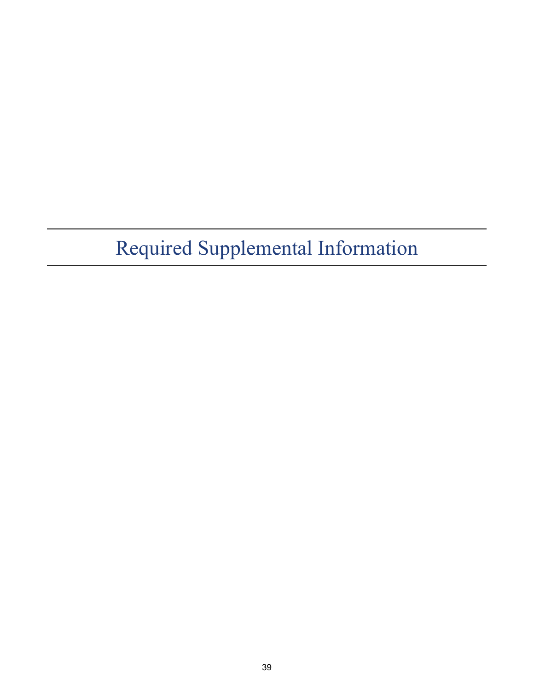# Required Supplemental Information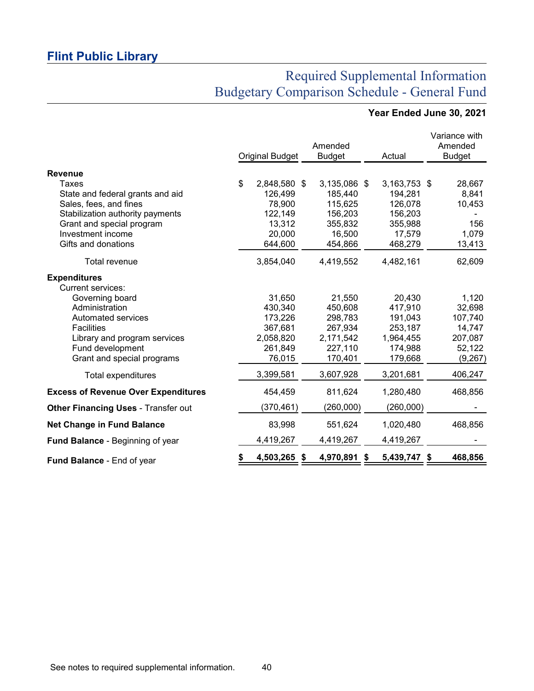# Required Supplemental Information Budgetary Comparison Schedule - General Fund

# **Year Ended June 30, 2021**

|                                            | <b>Original Budget</b> | Amended<br><b>Budget</b> | Actual          | Variance with<br>Amended<br><b>Budget</b> |
|--------------------------------------------|------------------------|--------------------------|-----------------|-------------------------------------------|
|                                            |                        |                          |                 |                                           |
| <b>Revenue</b>                             |                        |                          |                 |                                           |
| Taxes                                      | \$<br>2,848,580 \$     | 3,135,086 \$             | 3,163,753 \$    | 28,667                                    |
| State and federal grants and aid           | 126,499                | 185,440                  | 194,281         | 8,841                                     |
| Sales, fees, and fines                     | 78,900                 | 115,625                  | 126,078         | 10,453                                    |
| Stabilization authority payments           | 122,149                | 156,203                  | 156,203         |                                           |
| Grant and special program                  | 13,312                 | 355,832                  | 355,988         | 156                                       |
| Investment income                          | 20,000                 | 16,500                   | 17,579          | 1,079                                     |
| Gifts and donations                        | 644,600                | 454,866                  | 468,279         | 13,413                                    |
| Total revenue                              | 3,854,040              | 4,419,552                | 4,482,161       | 62,609                                    |
| <b>Expenditures</b>                        |                        |                          |                 |                                           |
| Current services:                          |                        |                          |                 |                                           |
| Governing board                            | 31,650                 | 21,550                   | 20,430          | 1,120                                     |
| Administration                             | 430,340                | 450,608                  | 417,910         | 32,698                                    |
| Automated services                         | 173,226                | 298,783                  | 191,043         | 107,740                                   |
| <b>Facilities</b>                          | 367,681                | 267,934                  | 253,187         | 14,747                                    |
| Library and program services               | 2,058,820              | 2,171,542                | 1,964,455       | 207,087                                   |
| Fund development                           | 261,849                | 227,110                  | 174,988         | 52,122                                    |
| Grant and special programs                 | 76,015                 | 170,401                  | 179,668         | (9,267)                                   |
| Total expenditures                         | 3,399,581              | 3,607,928                | 3,201,681       | 406,247                                   |
| <b>Excess of Revenue Over Expenditures</b> | 454,459                | 811,624                  | 1,280,480       | 468,856                                   |
| <b>Other Financing Uses - Transfer out</b> | (370,461)              | (260,000)                | (260,000)       |                                           |
| <b>Net Change in Fund Balance</b>          | 83,998                 | 551,624                  | 1,020,480       | 468,856                                   |
| Fund Balance - Beginning of year           | 4,419,267              | 4,419,267                | 4,419,267       |                                           |
| Fund Balance - End of year                 | \$<br>4,503,265        | \$<br>4,970,891          | \$<br>5,439,747 | \$<br>468,856                             |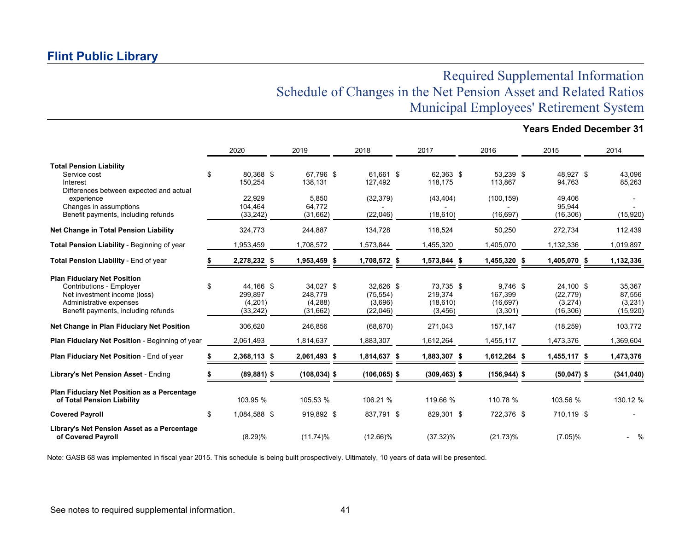# Required Supplemental Information Schedule of Changes in the Net Pension Asset and Related Ratios Municipal Employees' Retirement System

### **Years Ended December 31**

|                                                                                                                                                                  | 2020                                               | 2019                                         | 2018                                          | 2017                                         | 2016                                          | 2015                                           | 2014                                     |
|------------------------------------------------------------------------------------------------------------------------------------------------------------------|----------------------------------------------------|----------------------------------------------|-----------------------------------------------|----------------------------------------------|-----------------------------------------------|------------------------------------------------|------------------------------------------|
| <b>Total Pension Liability</b><br>Service cost<br>Interest<br>Differences between expected and actual<br>experience                                              | \$<br>80,368 \$<br>150,254<br>22,929               | 67,796 \$<br>138,131<br>5,850                | 61,661 \$<br>127,492<br>(32, 379)             | 62,363 \$<br>118,175<br>(43, 404)            | 53,239 \$<br>113,867<br>(100, 159)            | 48,927 \$<br>94,763<br>49,406                  | 43,096<br>85,263                         |
| Changes in assumptions<br>Benefit payments, including refunds                                                                                                    | 104,464<br>(33, 242)                               | 64.772<br>(31,662)                           | (22,046)                                      | (18, 610)                                    | (16, 697)                                     | 95.944<br>(16, 306)                            | (15, 920)                                |
| <b>Net Change in Total Pension Liability</b>                                                                                                                     | 324,773                                            | 244,887                                      | 134,728                                       | 118,524                                      | 50,250                                        | 272,734                                        | 112,439                                  |
| Total Pension Liability - Beginning of year                                                                                                                      | 1,953,459                                          | 1,708,572                                    | 1,573,844                                     | 1,455,320                                    | 1,405,070                                     | 1,132,336                                      | 1,019,897                                |
| Total Pension Liability - End of year                                                                                                                            | 2,278,232 \$                                       | 1,953,459 \$                                 | 1,708,572 \$                                  | 1,573,844 \$                                 | 1,455,320 \$                                  | 1,405,070 \$                                   | 1,132,336                                |
| <b>Plan Fiduciary Net Position</b><br>Contributions - Employer<br>Net investment income (loss)<br>Administrative expenses<br>Benefit payments, including refunds | \$<br>44.166 \$<br>299,897<br>(4,201)<br>(33, 242) | 34,027 \$<br>248,779<br>(4, 288)<br>(31,662) | 32,626 \$<br>(75, 554)<br>(3,696)<br>(22,046) | 73,735 \$<br>219,374<br>(18,610)<br>(3, 456) | $9,746$ \$<br>167,399<br>(16, 697)<br>(3,301) | 24,100 \$<br>(22, 779)<br>(3,274)<br>(16, 306) | 35.367<br>87,556<br>(3,231)<br>(15, 920) |
| Net Change in Plan Fiduciary Net Position                                                                                                                        | 306,620                                            | 246,856                                      | (68, 670)                                     | 271,043                                      | 157,147                                       | (18, 259)                                      | 103,772                                  |
| Plan Fiduciary Net Position - Beginning of year                                                                                                                  | 2,061,493                                          | 1,814,637                                    | 1,883,307                                     | 1,612,264                                    | 1,455,117                                     | 1,473,376                                      | 1,369,604                                |
| Plan Fiduciary Net Position - End of year                                                                                                                        | 2,368,113 \$                                       | 2,061,493 \$                                 | 1,814,637 \$                                  | 1,883,307 \$                                 | 1,612,264 \$                                  | 1,455,117 \$                                   | 1,473,376                                |
| Library's Net Pension Asset - Ending                                                                                                                             | $(89, 881)$ \$                                     | $(108, 034)$ \$                              | $(106, 065)$ \$                               | $(309, 463)$ \$                              | $(156, 944)$ \$                               | $(50,047)$ \$                                  | (341, 040)                               |
| Plan Fiduciary Net Position as a Percentage<br>of Total Pension Liability                                                                                        | 103.95 %                                           | 105.53 %                                     | 106.21 %                                      | 119.66 %                                     | 110.78 %                                      | 103.56 %                                       | 130.12 %                                 |
| <b>Covered Payroll</b>                                                                                                                                           | \$<br>1,084,588 \$                                 | 919,892 \$                                   | 837,791 \$                                    | 829,301 \$                                   | 722,376 \$                                    | 710,119 \$                                     |                                          |
| Library's Net Pension Asset as a Percentage<br>of Covered Payroll                                                                                                | (8.29)%                                            | $(11.74)\%$                                  | $(12.66)\%$                                   | $(37.32)\%$                                  | $(21.73)\%$                                   | $(7.05)\%$                                     | $-$ %                                    |

Note: GASB 68 was implemented in fiscal year 2015. This schedule is being built prospectively. Ultimately, 10 years of data will be presented.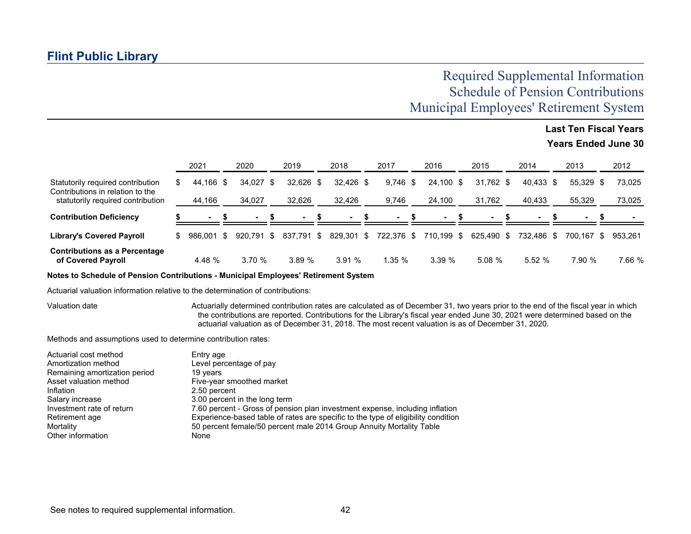# Required Supplemental Information Schedule of Pension Contributions Municipal Employees' Retirement System

### **Last Ten Fiscal Years**

**Years Ended June 30**

|                                                                       |     | 2021        |      | 2020       | 2019        | 2018 |             | 2017       |  | 2016                  |  | 2015       | 2014        | 2013       | 2012    |
|-----------------------------------------------------------------------|-----|-------------|------|------------|-------------|------|-------------|------------|--|-----------------------|--|------------|-------------|------------|---------|
| Statutorily required contribution<br>Contributions in relation to the | \$  | .166<br>44. | S    | 34.027     | $32.626$ \$ |      | $32,426$ \$ | $9.746$ \$ |  | 24.100 \$             |  | 31.762 \$  | $40,433$ \$ | 55,329 \$  | 73,025  |
| statutorily required contribution                                     |     | 44,166      |      | 34.027     | 32,626      |      | 32.426      | 9,746      |  | 24.100                |  | 31.762     | 40,433      | 55,329     | 73,025  |
| <b>Contribution Deficiency</b>                                        |     | $\sim$      |      | $\sim$     | . .         |      |             | . .        |  | $\sim$                |  | $\sim$     |             |            |         |
| <b>Library's Covered Payroll</b>                                      | SS. | 986.001     | - SS | 920.791 \$ | 837.791 \$  |      | 829.301 \$  |            |  | 722.376 \$ 710.199 \$ |  | 625,490 \$ | 732.486 \$  | 700.167 \$ | 953.261 |
| <b>Contributions as a Percentage</b><br>of Covered Payroll            |     | 4.48%       |      | 3.70%      | 3.89%       |      | 3.91%       | $1.35\%$   |  | 3.39%                 |  | 5.08%      | 5.52%       | 7.90%      | 7.66 %  |

#### **Notes to Schedule of Pension Contributions - Municipal Employees' Retirement System**

Actuarial valuation information relative to the determination of contributions:

Valuation date **Actuarially determined contribution rates are calculated as of December 31, two years prior to the end of the fiscal year in which Valuation rates are calculated as of December 31, two years prior to the en** the contributions are reported. Contributions for the Library's fiscal year ended June 30, 2021 were determined based on the actuarial valuation as of December 31, 2018. The most recent valuation is as of December 31, 2020.

Methods and assumptions used to determine contribution rates:

| Actuarial cost method         | Entry age                                                                         |
|-------------------------------|-----------------------------------------------------------------------------------|
| Amortization method           | Level percentage of pay                                                           |
| Remaining amortization period | 19 vears                                                                          |
| Asset valuation method        | Five-year smoothed market                                                         |
| Inflation                     | 2.50 percent                                                                      |
| Salary increase               | 3.00 percent in the long term                                                     |
| Investment rate of return     | 7.60 percent - Gross of pension plan investment expense, including inflation      |
| Retirement age                | Experience-based table of rates are specific to the type of eligibility condition |
| Mortality                     | 50 percent female/50 percent male 2014 Group Annuity Mortality Table              |
| Other information             | None                                                                              |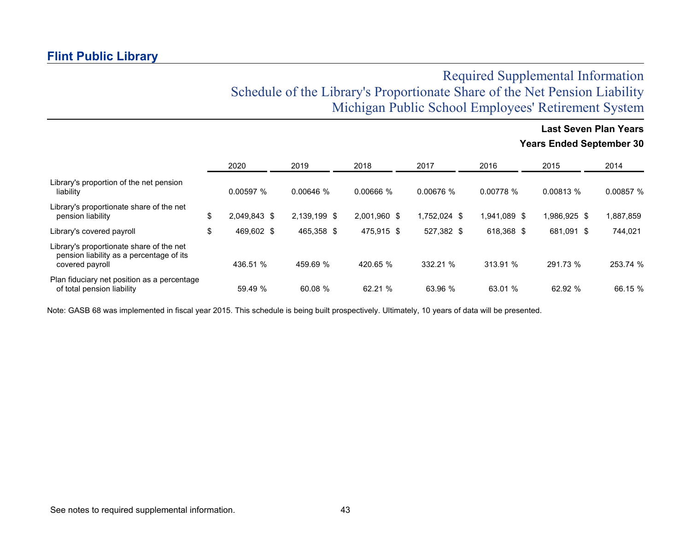# Required Supplemental Information Schedule of the Library's Proportionate Share of the Net Pension Liability Michigan Public School Employees' Retirement System

**Last Seven Plan Years**

# **Years Ended September 30** 2020 2019 2018 2017 2016 2015 2014 Library's proportion of the net pension liability 0.00597 % 0.00646 % 0.00666 % 0.00676 % 0.00778 % 0.00813 % 0.00857 % Library's proportionate share of the net pension liability \$ 2,049,843 \$ 2,139,199 \$ 2,001,960 \$ 1,752,024 \$ 1,941,089 \$ 1,986,925 \$ 1,887,859 Library's covered payroll \$ 469,602 \$ 465,358 \$ 475,915 \$ 527,382 \$ 618,368 \$ 681,091 \$ 744,021 Library's proportionate share of the net pension liability as a percentage of its covered payroll 436.51 % 459.69 % 420.65 % 332.21 % 313.91 % 291.73 % 253.74 % Plan fiduciary net position as a percentage of total pension liability 66.15 % 69.49 % 60.08 % 62.21 % 63.96 % 63.01 % 62.92 % 66.15 %

Note: GASB 68 was implemented in fiscal year 2015. This schedule is being built prospectively. Ultimately, 10 years of data will be presented.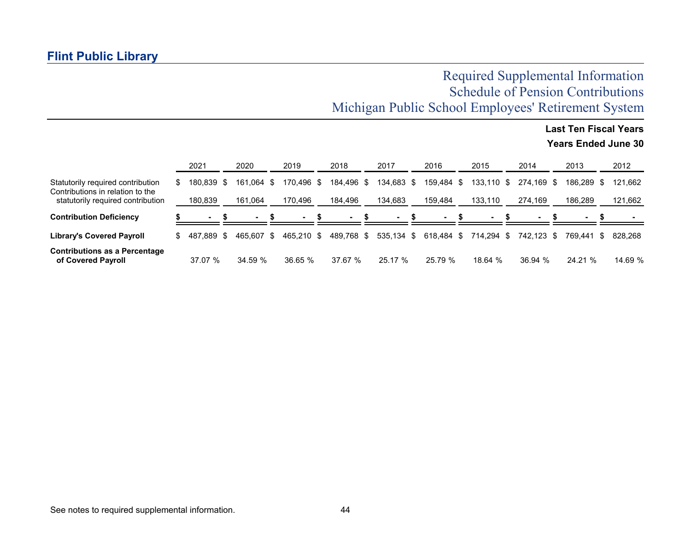# Required Supplemental Information Schedule of Pension Contributions

Michigan Public School Employees' Retirement System

|  | <b>Last Ten Fiscal Years</b> |
|--|------------------------------|
|  |                              |

**Years Ended June 30**

|                                                                       |     | 2021       | 2020       | 2019       | 2018       | 2017       | 2016       | 2015                  | 2014                     | 2013                     | 2012    |
|-----------------------------------------------------------------------|-----|------------|------------|------------|------------|------------|------------|-----------------------|--------------------------|--------------------------|---------|
| Statutorily required contribution<br>Contributions in relation to the | S.  | 180.839 \$ | 161.064 \$ | 170.496 \$ | 184,496 \$ | 134,683 \$ | 159,484 \$ | 133,110 \$            | 274.169 \$               | 186.289 \$               | 121.662 |
| statutorily required contribution                                     |     | 180.839    | 161.064    | 170.496    | 184.496    | 134,683    | 159.484    | 133.110               | 274.169                  | 186.289                  | 121,662 |
| <b>Contribution Deficiency</b>                                        |     | . .        | $\sim$     |            |            | . .        | $\sim$     | . .                   | $\overline{\phantom{a}}$ | $\overline{\phantom{a}}$ | $\sim$  |
| <b>Library's Covered Payroll</b>                                      | SS. | 487.889 \$ | 465.607 \$ | 465.210 \$ | 489.768 \$ | 535.134 \$ |            | 618,484 \$ 714,294 \$ | 742.123 \$               | 769.441 \$               | 828.268 |
| <b>Contributions as a Percentage</b><br>of Covered Payroll            |     | 37.07 %    | 34.59 %    | 36.65 %    | 37.67 %    | 25.17 %    | 25.79 %    | 18.64 %               | 36.94%                   | 24.21 %                  | 14.69 % |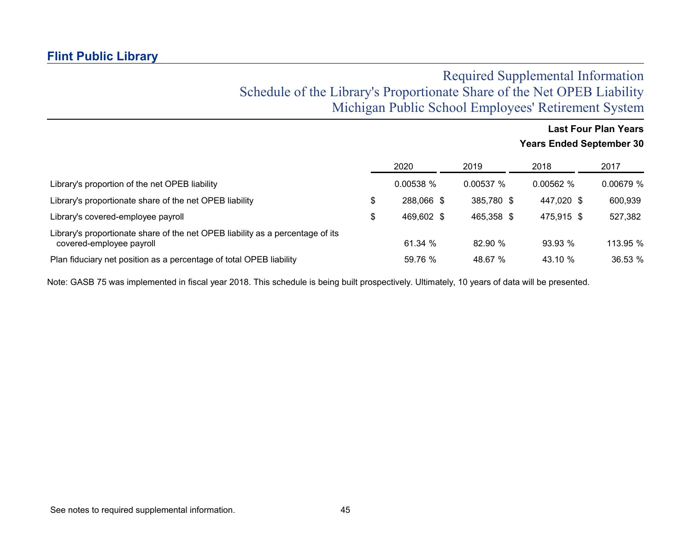# Required Supplemental Information Schedule of the Library's Proportionate Share of the Net OPEB Liability Michigan Public School Employees' Retirement System

# **Last Four Plan Years**

## **Years Ended September 30**

|                                                                                                            |    | 2020       | 2019       | 2018       | 2017     |
|------------------------------------------------------------------------------------------------------------|----|------------|------------|------------|----------|
| Library's proportion of the net OPEB liability                                                             |    | 0.00538%   | 0.00537%   | 0.00562%   | 0.00679% |
| Library's proportionate share of the net OPEB liability                                                    | S  | 288.066 \$ | 385,780 \$ | 447,020 \$ | 600,939  |
| Library's covered-employee payroll                                                                         | \$ | 469,602 \$ | 465,358 \$ | 475,915 \$ | 527,382  |
| Library's proportionate share of the net OPEB liability as a percentage of its<br>covered-employee payroll |    | 61.34 %    | 82.90%     | $93.93\%$  | 113.95 % |
| Plan fiduciary net position as a percentage of total OPEB liability                                        |    | 59.76 %    | 48.67 %    | 43.10 %    | 36.53 %  |

Note: GASB 75 was implemented in fiscal year 2018. This schedule is being built prospectively. Ultimately, 10 years of data will be presented.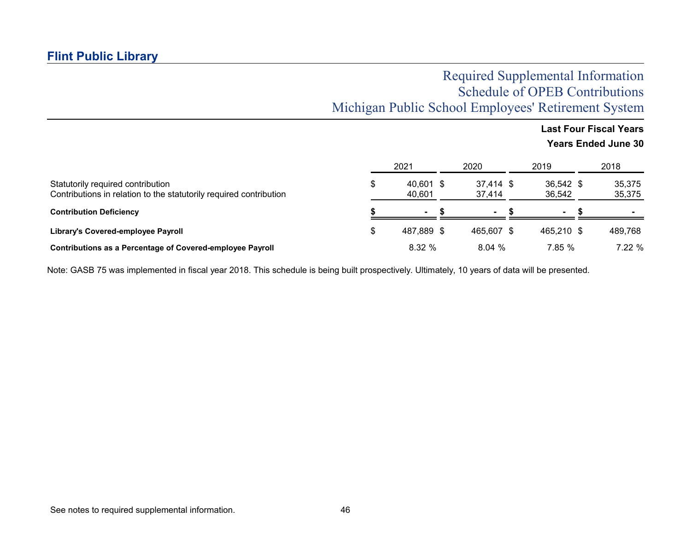# Required Supplemental Information Schedule of OPEB Contributions

Michigan Public School Employees' Retirement System

# **Last Four Fiscal Years**

**Years Ended June 30**

|                                                                                                         | 2021                | 2020                | 2019                | 2018             |
|---------------------------------------------------------------------------------------------------------|---------------------|---------------------|---------------------|------------------|
| Statutorily required contribution<br>Contributions in relation to the statutorily required contribution | 40,601 \$<br>40.601 | 37,414 \$<br>37.414 | 36,542 \$<br>36.542 | 35.375<br>35,375 |
| <b>Contribution Deficiency</b>                                                                          | $\sim$              | $\sim$              | $\sim$              |                  |
| Library's Covered-employee Payroll                                                                      | 487.889             | 465.607 \$          | 465,210 \$          | 489.768          |
| Contributions as a Percentage of Covered-employee Payroll                                               | 8.32%               | 8.04%               | 7.85 %              | 7.22%            |

Note: GASB 75 was implemented in fiscal year 2018. This schedule is being built prospectively. Ultimately, 10 years of data will be presented.